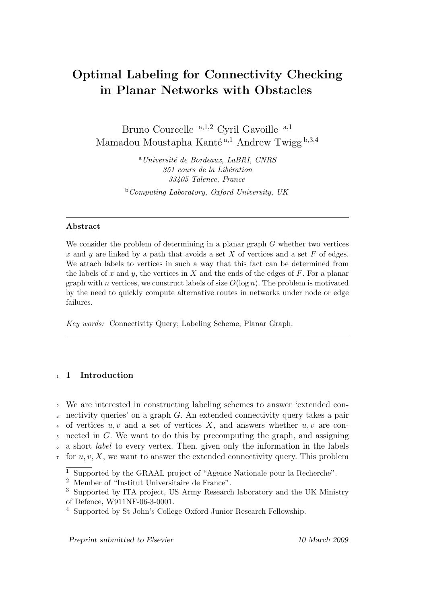# Optimal Labeling for Connectivity Checking in Planar Networks with Obstacles

Bruno Courcelle <sup>a,1,2</sup> Cyril Gavoille <sup>a,1</sup> Mamadou Moustapha Kanté <sup>a,1</sup> Andrew Twigg  $b,3,4$ 

> $a$ Université de Bordeaux, LaBRI, CNRS 351 cours de la Libération 33405 Talence, France  $b$ Computing Laboratory, Oxford University, UK

#### Abstract

We consider the problem of determining in a planar graph G whether two vertices x and y are linked by a path that avoids a set  $X$  of vertices and a set  $F$  of edges. We attach labels to vertices in such a way that this fact can be determined from the labels of x and y, the vertices in X and the ends of the edges of  $F$ . For a planar graph with n vertices, we construct labels of size  $O(\log n)$ . The problem is motivated by the need to quickly compute alternative routes in networks under node or edge failures.

Key words: Connectivity Query; Labeling Scheme; Planar Graph.

## <sup>1</sup> 1 Introduction

<sup>2</sup> We are interested in constructing labeling schemes to answer 'extended con-<sup>3</sup> nectivity queries' on a graph G. An extended connectivity query takes a pair 4 of vertices  $u, v$  and a set of vertices X, and answers whether  $u, v$  are con- $\frac{1}{5}$  nected in G. We want to do this by precomputing the graph, and assigning <sup>6</sup> a short label to every vertex. Then, given only the information in the labels  $\tau$  for  $u, v, X$ , we want to answer the extended connectivity query. This problem

Preprint submitted to Elsevier 10 March 2009

<sup>1</sup> Supported by the GRAAL project of "Agence Nationale pour la Recherche".

<sup>2</sup> Member of "Institut Universitaire de France".

<sup>3</sup> Supported by ITA project, US Army Research laboratory and the UK Ministry of Defence, W911NF-06-3-0001.

<sup>4</sup> Supported by St John's College Oxford Junior Research Fellowship.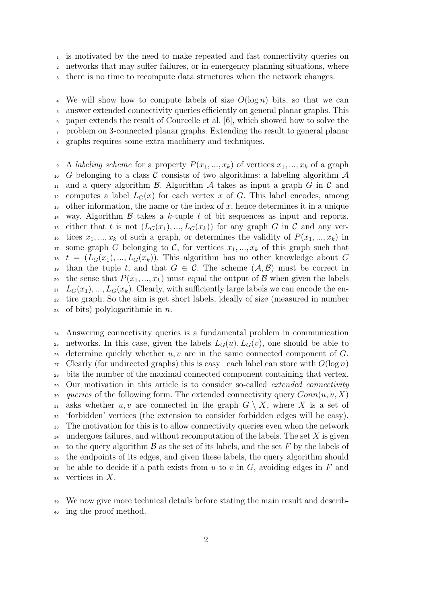<sup>1</sup> is motivated by the need to make repeated and fast connectivity queries on

<sup>2</sup> networks that may suffer failures, or in emergency planning situations, where

<sup>3</sup> there is no time to recompute data structures when the network changes.

<sup>4</sup> We will show how to compute labels of size  $O(\log n)$  bits, so that we can <sup>5</sup> answer extended connectivity queries efficiently on general planar graphs. This <sup>6</sup> paper extends the result of Courcelle et al. [6], which showed how to solve the <sup>7</sup> problem on 3-connected planar graphs. Extending the result to general planar graphs requires some extra machinery and techniques.

9 A *labeling scheme* for a property  $P(x_1, ..., x_k)$  of vertices  $x_1, ..., x_k$  of a graph <sup>10</sup> G belonging to a class C consists of two algorithms: a labeling algorithm  $\mathcal A$ 11 and a query algorithm  $\beta$ . Algorithm  $\mathcal A$  takes as input a graph G in C and <sup>12</sup> computes a label  $L_G(x)$  for each vertex x of G. This label encodes, among <sup>13</sup> other information, the name or the index of x, hence determines it in a unique <sup>14</sup> way. Algorithm  $\beta$  takes a k-tuple t of bit sequences as input and reports, <sup>15</sup> either that t is not  $(L_G(x_1),..., L_G(x_k))$  for any graph G in C and any ver-<sup>16</sup> tices  $x_1, ..., x_k$  of such a graph, or determines the validity of  $P(x_1, ..., x_k)$  in 17 some graph G belonging to C, for vertices  $x_1, ..., x_k$  of this graph such that <sup>18</sup>  $t = (L_G(x_1), ..., L_G(x_k))$ . This algorithm has no other knowledge about G 19 than the tuple t, and that  $G \in \mathcal{C}$ . The scheme  $(\mathcal{A}, \mathcal{B})$  must be correct in 20 the sense that  $P(x_1, ..., x_k)$  must equal the output of  $\beta$  when given the labels  $L_G(x_1),..., L_G(x_k)$ . Clearly, with sufficiently large labels we can encode the en-<sup>22</sup> tire graph. So the aim is get short labels, ideally of size (measured in number 23 of bits) polylogarithmic in  $n$ .

<sup>24</sup> Answering connectivity queries is a fundamental problem in communication <sup>25</sup> networks. In this case, given the labels  $L_G(u)$ ,  $L_G(v)$ , one should be able to 26 determine quickly whether  $u, v$  are in the same connected component of  $G$ .  $27$  Clearly (for undirected graphs) this is easy-each label can store with  $O(\log n)$ <sup>28</sup> bits the number of the maximal connected component containing that vertex. <sup>29</sup> Our motivation in this article is to consider so-called *extended connectivity* 30 queries of the following form. The extended connectivity query  $Conn(u, v, X)$ 31 asks whether u, v are connected in the graph  $G \setminus X$ , where X is a set of <sup>32</sup> 'forbidden' vertices (the extension to consider forbidden edges will be easy). <sup>33</sup> The motivation for this is to allow connectivity queries even when the network  $34$  undergoes failures, and without recomputation of the labels. The set X is given 35 to the query algorithm  $\beta$  as the set of its labels, and the set F by the labels of <sup>36</sup> the endpoints of its edges, and given these labels, the query algorithm should  $37$  be able to decide if a path exists from u to v in G, avoiding edges in F and  $\frac{38}{100}$  vertices in X.

<sup>39</sup> We now give more technical details before stating the main result and describ-<sup>40</sup> ing the proof method.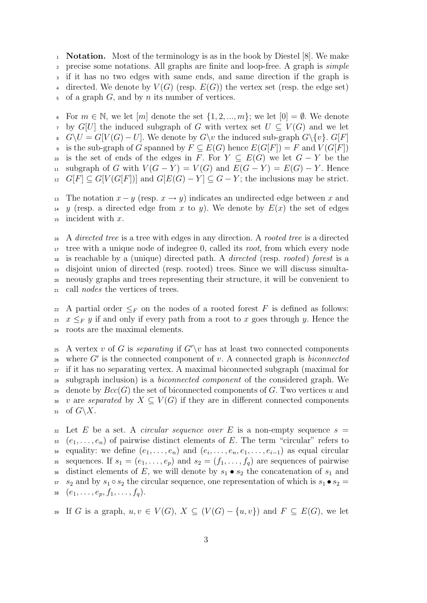<sup>1</sup> Notation. Most of the terminology is as in the book by Diestel [8]. We make <sup>2</sup> precise some notations. All graphs are finite and loop-free. A graph is simple <sup>3</sup> if it has no two edges with same ends, and same direction if the graph is 4 directed. We denote by  $V(G)$  (resp.  $E(G)$ ) the vertex set (resp. the edge set)  $\mathfrak s$  of a graph G, and by n its number of vertices.

6 For  $m \in \mathbb{N}$ , we let  $[m]$  denote the set  $\{1, 2, ..., m\}$ ; we let  $[0] = \emptyset$ . We denote  $7 \text{ by } G[U]$  the induced subgraph of G with vertex set  $U \subseteq V(G)$  and we let  $G\setminus U = G[V(G) - U]$ . We denote by  $G\setminus v$  the induced sub-graph  $G\setminus\{v\}$ .  $G[F]$ 9 is the sub-graph of G spanned by  $F \subseteq E(G)$  hence  $E(G[F]) = F$  and  $V(G[F])$ 10 is the set of ends of the edges in F. For  $Y \subseteq E(G)$  we let  $G - Y$  be the 11 subgraph of G with  $V(G - Y) = V(G)$  and  $E(G - Y) = E(G) - Y$ . Hence  $_{12}$  G[F]  $\subseteq G[V(G[F])]$  and  $G[E(G) - Y] \subseteq G - Y$ ; the inclusions may be strict.

13 The notation  $x - y$  (resp.  $x \to y$ ) indicates an undirected edge between x and <sup>14</sup> y (resp. a directed edge from x to y). We denote by  $E(x)$  the set of edges  $15$  incident with x.

<sup>16</sup> A directed tree is a tree with edges in any direction. A rooted tree is a directed tree with a unique node of indegree 0, called its root, from which every node is reachable by a (unique) directed path. A directed (resp. rooted) forest is a disjoint union of directed (resp. rooted) trees. Since we will discuss simulta- neously graphs and trees representing their structure, it will be convenient to call nodes the vertices of trees.

22 A partial order  $\leq_F$  on the nodes of a rooted forest F is defined as follows: 23 x  $\leq_F y$  if and only if every path from a root to x goes through y. Hence the <sup>24</sup> roots are the maximal elements.

<sup>25</sup> A vertex v of G is separating if  $G' \setminus v$  has at least two connected components  $26$  where  $G'$  is the connected component of v. A connected graph is biconnected <sup>27</sup> if it has no separating vertex. A maximal biconnected subgraph (maximal for <sup>28</sup> subgraph inclusion) is a biconnected component of the considered graph. We 29 denote by  $Bcc(G)$  the set of biconnected components of G. Two vertices u and 30 v are separated by  $X \subseteq V(G)$  if they are in different connected components 31 of  $G\backslash X$ .

 $\overline{32}$  Let E be a set. A *circular sequence over* E is a non-empty sequence  $s =$ 33  $(e_1, \ldots, e_n)$  of pairwise distinct elements of E. The term "circular" refers to <sup>34</sup> equality: we define  $(e_1, \ldots, e_n)$  and  $(e_i, \ldots, e_n, e_1, \ldots, e_{i-1})$  as equal circular 35 sequences. If  $s_1 = (e_1, \ldots, e_p)$  and  $s_2 = (f_1, \ldots, f_q)$  are sequences of pairwise 36 distinct elements of E, we will denote by  $s_1 \bullet s_2$  the concatenation of  $s_1$  and  $s_1$  s<sub>2</sub> and by  $s_1 \circ s_2$  the circular sequence, one representation of which is  $s_1 \bullet s_2 =$ 38  $(e_1, \ldots, e_p, f_1, \ldots, f_q).$ 

39 If G is a graph,  $u, v \in V(G)$ ,  $X \subseteq (V(G) - \{u, v\})$  and  $F \subseteq E(G)$ , we let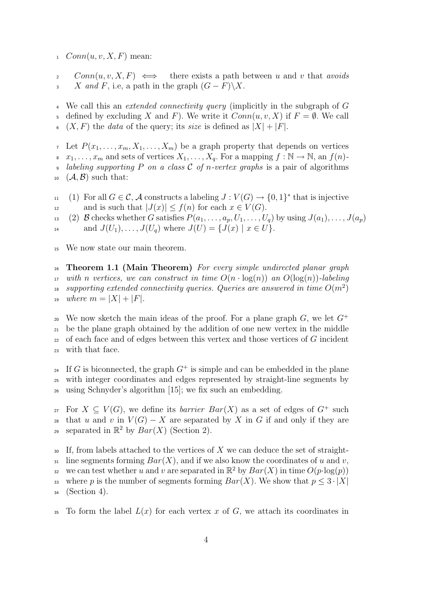$1$  Conn $(u, v, X, F)$  mean:

2  $Conn(u, v, X, F) \iff$  there exists a path between u and v that avoids 3 X and F, i.e, a path in the graph  $(G - F)\X$ .

We call this an *extended connectivity query* (implicitly in the subgraph of  $G$ 

5 defined by excluding X and F). We write it  $Conn(u, v, X)$  if  $F = \emptyset$ . We call

 $( X, F)$  the *data* of the query; its *size* is defined as  $|X| + |F|$ .

<sup>7</sup> Let  $P(x_1, \ldots, x_m, X_1, \ldots, X_m)$  be a graph property that depends on vertices

8  $x_1, \ldots, x_m$  and sets of vertices  $X_1, \ldots, X_q$ . For a mapping  $f : \mathbb{N} \to \mathbb{N}$ , an  $f(n)$ -

• labeling supporting P on a class C of n-vertex graphs is a pair of algorithms  $10 \ (\mathcal{A}, \mathcal{B})$  such that:

11 (1) For all  $G \in \mathcal{C}$ , A constructs a labeling  $J: V(G) \to \{0,1\}^*$  that is injective 12 and is such that  $|J(x)| \le f(n)$  for each  $x \in V(G)$ .

13 (2) B checks whether G satisfies  $P(a_1, \ldots, a_p, U_1, \ldots, U_q)$  by using  $J(a_1), \ldots, J(a_p)$ 14 and  $J(U_1), \ldots, J(U_q)$  where  $J(U) = \{J(x) \mid x \in U\}.$ 

<sup>15</sup> We now state our main theorem.

<sup>16</sup> Theorem 1.1 (Main Theorem) For every simple undirected planar graph 17 with n vertices, we can construct in time  $O(n \cdot \log(n))$  an  $O(\log(n))$ -labeling  $_{18}$  supporting extended connectivity queries. Queries are answered in time  $O(m^2)$ 19 where  $m = |X| + |F|$ .

<sup>20</sup> We now sketch the main ideas of the proof. For a plane graph  $G$ , we let  $G^+$  be the plane graph obtained by the addition of one new vertex in the middle of each face and of edges between this vertex and those vertices of G incident with that face.

<sup>24</sup> If G is biconnected, the graph  $G^+$  is simple and can be embedded in the plane <sup>25</sup> with integer coordinates and edges represented by straight-line segments by <sup>26</sup> using Schnyder's algorithm [15]; we fix such an embedding.

 $\chi$  For  $X \subseteq V(G)$ , we define its *barrier Bar(X)* as a set of edges of  $G^+$  such 28 that u and v in  $V(G) - X$  are separated by X in G if and only if they are separated in  $\mathbb{R}^2$  by  $Bar(X)$  (Section 2).

 $\overline{\mathcal{A}}$  If, from labels attached to the vertices of X we can deduce the set of straight- $31$  line segments forming  $Bar(X)$ , and if we also know the coordinates of u and v, we can test whether u and v are separated in  $\mathbb{R}^2$  by  $Bar(X)$  in time  $O(p \cdot \log(p))$ 33 where p is the number of segments forming  $Bar(X)$ . We show that  $p \leq 3 \cdot |X|$ <sup>34</sup> (Section 4).

 $35$  To form the label  $L(x)$  for each vertex x of G, we attach its coordinates in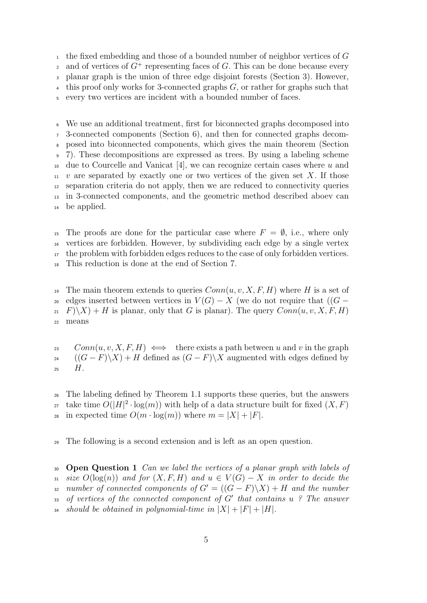<sup>1</sup> the fixed embedding and those of a bounded number of neighbor vertices of  $G$ 2 and of vertices of  $G^+$  representing faces of G. This can be done because every <sup>3</sup> planar graph is the union of three edge disjoint forests (Section 3). However,  $\frac{4}{4}$  this proof only works for 3-connected graphs G, or rather for graphs such that every two vertices are incident with a bounded number of faces.

We use an additional treatment, first for biconnected graphs decomposed into 3-connected components (Section 6), and then for connected graphs decom- posed into biconnected components, which gives the main theorem (Section 7). These decompositions are expressed as trees. By using a labeling scheme due to Courcelle and Vanicat [4], we can recognize certain cases where u and v are separated by exactly one or two vertices of the given set X. If those separation criteria do not apply, then we are reduced to connectivity queries in 3-connected components, and the geometric method described aboev can be applied.

<sup>15</sup> The proofs are done for the particular case where  $F = \emptyset$ , i.e., where only vertices are forbidden. However, by subdividing each edge by a single vertex the problem with forbidden edges reduces to the case of only forbidden vertices. This reduction is done at the end of Section 7.

<sup>19</sup> The main theorem extends to queries  $Conn(u, v, X, F, H)$  where H is a set of <sup>20</sup> edges inserted between vertices in  $V(G) - X$  (we do not require that  $((G 21 \tF(\X) + H$  is planar, only that G is planar). The query  $Conn(u, v, X, F, H)$ <sup>22</sup> means

 $\text{Conn}(u, v, X, F, H) \iff$  there exists a path between u and v in the graph  $( (G - F) \setminus X ) + H$  defined as  $(G - F) \setminus X$  augmented with edges defined by  $25$   $H.$ 

<sup>26</sup> The labeling defined by Theorem 1.1 supports these queries, but the answers <sup>27</sup> take time  $O(|H|^2 \cdot \log(m))$  with help of a data structure built for fixed  $(X, F)$ 28 in expected time  $O(m \cdot \log(m))$  where  $m = |X| + |F|$ .

<sup>29</sup> The following is a second extension and is left as an open question.

<sup>30</sup> Open Question 1 Can we label the vertices of a planar graph with labels of 31 size  $O(\log(n))$  and for  $(X, F, H)$  and  $u \in V(G) - X$  in order to decide the 32 number of connected components of  $G' = ((G - F)\X) + H$  and the number 33 of vertices of the connected component of  $G'$  that contains u ? The answer 34 should be obtained in polynomial-time in  $|X| + |F| + |H|$ .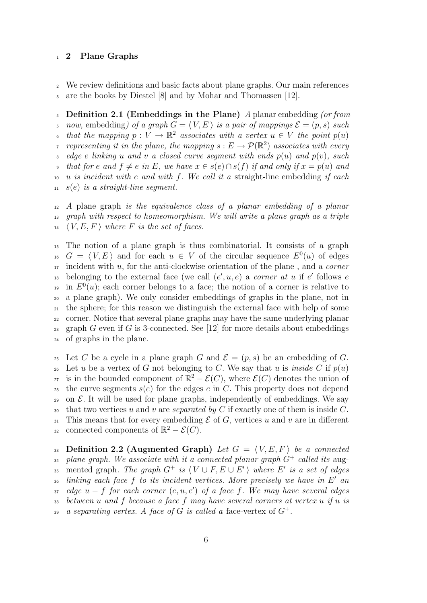#### <sup>1</sup> 2 Plane Graphs

<sup>2</sup> We review definitions and basic facts about plane graphs. Our main references <sup>3</sup> are the books by Diestel [8] and by Mohar and Thomassen [12].

4 Definition 2.1 (Embeddings in the Plane) A planar embedding (or from 5 now, embedding) of a graph  $G = \langle V, E \rangle$  is a pair of mappings  $\mathcal{E} = (p, s)$  such 6 that the mapping  $p: V \to \mathbb{R}^2$  associates with a vertex  $u \in V$  the point  $p(u)$ representing it in the plane, the mapping  $s: E \to \mathcal{P}(\mathbb{R}^2)$  associates with every  $\mathcal{B}$  edge e linking u and v a closed curve segment with ends  $p(u)$  and  $p(v)$ , such 9 that for e and  $f \neq e$  in E, we have  $x \in s(e) \cap s(f)$  if and only if  $x = p(u)$  and  $10 u$  is incident with e and with f. We call it a straight-line embedding if each  $11 \quad s(e)$  is a straight-line segment.

<sup>12</sup> A plane graph is the equivalence class of a planar embedding of a planar <sup>13</sup> graph with respect to homeomorphism. We will write a plane graph as a triple  $14 \quad (V, E, F)$  where F is the set of faces.

<sup>15</sup> The notion of a plane graph is thus combinatorial. It consists of a graph <sup>16</sup>  $G = \langle V, E \rangle$  and for each  $u \in V$  of the circular sequence  $E^0(u)$  of edges  $17$  incident with u, for the anti-clockwise orientation of the plane, and a *corner* <sup>18</sup> belonging to the external face (we call  $(e', u, e)$  a *corner at u* if e' follows e <sup>19</sup> in  $E^0(u)$ ; each corner belongs to a face; the notion of a corner is relative to <sup>20</sup> a plane graph). We only consider embeddings of graphs in the plane, not in <sup>21</sup> the sphere; for this reason we distinguish the external face with help of some <sup>22</sup> corner. Notice that several plane graphs may have the same underlying planar 23 graph G even if G is 3-connected. See [12] for more details about embeddings <sup>24</sup> of graphs in the plane.

<sup>25</sup> Let C be a cycle in a plane graph G and  $\mathcal{E} = (p, s)$  be an embedding of G. 26 Let u be a vertex of G not belonging to C. We say that u is inside C if  $p(u)$ 27 is in the bounded component of  $\mathbb{R}^2 - \mathcal{E}(C)$ , where  $\mathcal{E}(C)$  denotes the union of 28 the curve segments  $s(e)$  for the edges e in C. This property does not depend 29 on  $\mathcal{E}$ . It will be used for plane graphs, independently of embeddings. We say 30 that two vertices u and v are separated by C if exactly one of them is inside C. 31 This means that for every embedding  $\mathcal E$  of G, vertices u and v are in different 32 connected components of  $\mathbb{R}^2 - \mathcal{E}(C)$ .

33 Definition 2.2 (Augmented Graph) Let  $G = \langle V, E, F \rangle$  be a connected <sup>34</sup> plane graph. We associate with it a connected planar graph  $G^+$  called its aug-35 mented graph. The graph  $G^+$  is  $\langle V \cup F, E \cup E' \rangle$  where E' is a set of edges  $\lambda$ <sub>36</sub> linking each face f to its incident vertices. More precisely we have in E' an 37 edge  $u - f$  for each corner  $(e, u, e')$  of a face f. We may have several edges  $38$  between u and f because a face f may have several corners at vertex u if u is as a separating vertex. A face of G is called a face-vertex of  $G^+$ .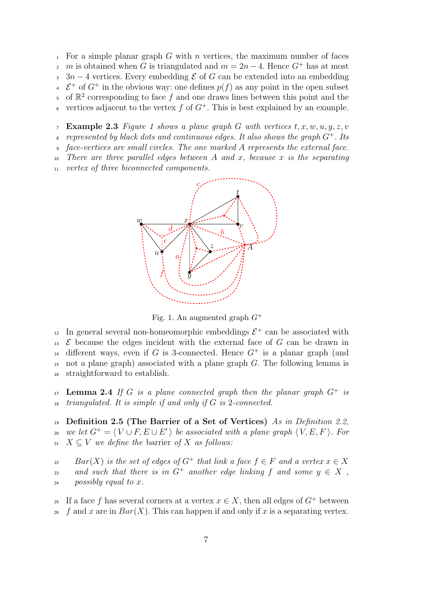<sup>1</sup> For a simple planar graph G with n vertices, the maximum number of faces  $m \in \mathbb{Z}$  m is obtained when G is triangulated and  $m = 2n - 4$ . Hence  $G^+$  has at most  $3n-4$  vertices. Every embedding  $\mathcal E$  of G can be extended into an embedding  $\epsilon$   $\mathcal{E}^+$  of  $G^+$  in the obvious way: one defines  $p(f)$  as any point in the open subset 5 of  $\mathbb{R}^2$  corresponding to face f and one draws lines between this point and the vertices adjacent to the vertex  $f$  of  $G^+$ . This is best explained by an example.

7 Example 2.3 Figure 1 shows a plane graph G with vertices  $t, x, w, u, y, z, v$ 

represented by black dots and continuous edges. It also shows the graph  $G^+$ . Its

<sup>9</sup> face-vertices are small circles. The one marked A represents the external face.

There are three parallel edges between A and x, because x is the separating

<sup>11</sup> vertex of three biconnected components.



Fig. 1. An augmented graph  $G^+$ 

<sup>12</sup> In general several non-homeomorphic embeddings  $\mathcal{E}^+$  can be associated with  $\mathcal E$  because the edges incident with the external face of G can be drawn in <sup>14</sup> different ways, even if G is 3-connected. Hence  $G^+$  is a planar graph (and <sup>15</sup> not a plane graph) associated with a plane graph G. The following lemma is <sup>16</sup> straightforward to establish.

17 **Lemma 2.4** If G is a plane connected graph then the planar graph  $G^+$  is  $18$  triangulated. It is simple if and only if G is 2-connected.

<sup>19</sup> Definition 2.5 (The Barrier of a Set of Vertices) As in Definition 2.2,  $\mathcal{L}_{20}$  we let  $G^+ = \langle V \cup F, E \cup E' \rangle$  be associated with a plane graph  $\langle V, E, F \rangle$ . For 21  $X \subseteq V$  we define the barrier of X as follows:

 $Bar(X)$  is the set of edges of  $G^+$  that link a face  $f \in F$  and a vertex  $x \in X$ and such that there is in  $G^+$  another edge linking f and some  $y \in X$ ,  $_{24}$  possibly equal to x.

<sup>25</sup> If a face f has several corners at a vertex  $x \in X$ , then all edges of  $G^+$  between <sup>26</sup> f and x are in  $Bar(X)$ . This can happen if and only if x is a separating vertex.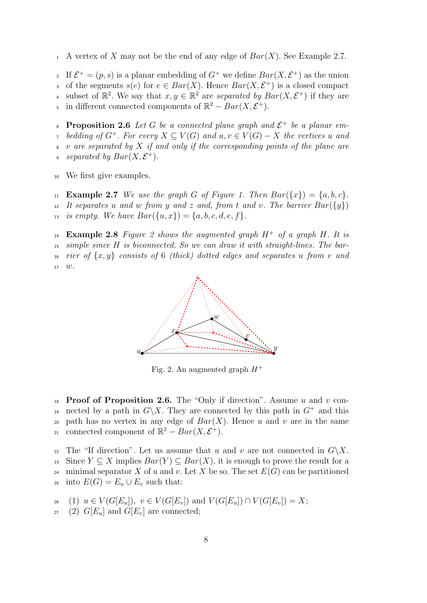1 A vertex of X may not be the end of any edge of  $Bar(X)$ . See Example 2.7.

If  $\mathcal{E}^+ = (p, s)$  is a planar embedding of  $G^+$  we define  $Bar(X, \mathcal{E}^+)$  as the union of the segments  $s(e)$  for  $e \in Bar(X)$ . Hence  $Bar(X, \mathcal{E}^+)$  is a closed compact 4 subset of  $\mathbb{R}^2$ . We say that  $x, y \in \mathbb{R}^2$  are separated by  $Bar(X, \mathcal{E}^+)$  if they are 5 in different connected components of  $\mathbb{R}^2 - Bar(X, \mathcal{E}^+)$ .

**Proposition 2.6** Let G be a connected plane graph and  $\mathcal{E}^+$  be a planar embedding of  $G^+$ . For every  $X \subseteq V(G)$  and  $u, v \in V(G) - X$  the vertices u and  $\upsilon$  are separated by X if and only if the corresponding points of the plane are *separated by*  $Bar(X, \mathcal{E}^+).$ 

<sup>10</sup> We first give examples.

11 **Example 2.7** We use the graph G of Figure 1. Then  $Bar(\lbrace x \rbrace) = \lbrace a, b, c \rbrace$ . 12 It separates u and w from y and z and, from t and v. The barrier  $Bar({y})$ 13 is empty. We have  $Bar({u, x}) = {a, b, c, d, e, f}.$ 

<sup>14</sup> Example 2.8 Figure 2 shows the augmented graph  $H^+$  of a graph H. It is <sup>15</sup> simple since H is biconnected. So we can draw it with straight-lines. The bar-16 rier of  $\{x, y\}$  consists of 6 (thick) dotted edges and separates u from v and  $17 \quad w$ .



Fig. 2. An augmented graph  $H^+$ 

18 **Proof of Proposition 2.6.** The "Only if direction". Assume u and v connected by a path in  $G\backslash X$ . They are connected by this path in  $G^+$  and this 20 path has no vertex in any edge of  $Bar(X)$ . Hence u and v are in the same connected component of  $\mathbb{R}^2 - Bar(X, \mathcal{E}^+).$ 

22 The "If direction". Let us assume that u and v are not connected in  $G\backslash X$ . 23 Since  $Y \subseteq X$  implies  $Bar(Y) \subseteq Bar(X)$ , it is enough to prove the result for a <sup>24</sup> minimal separator X of u and v. Let X be so. The set  $E(G)$  can be partitioned <sup>25</sup> into  $E(G) = E_u \cup E_v$  such that:

$$
\begin{array}{ll}\n\text{and} & \text{if } U(G[E_u]), \ v \in V(G[E_v]) \text{ and } V(G[E_u]) \cap V(G[E_v]) = X; \\
\text{(3) } & \text{if } E \text{ and } C[F] \text{ are connected.}\n\end{array}
$$

 $_{27}$  (2)  $G[E_u]$  and  $G[E_v]$  are connected;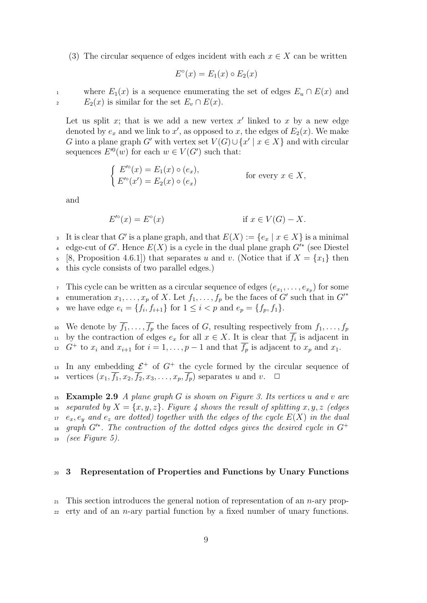(3) The circular sequence of edges incident with each  $x \in X$  can be written

$$
E^{\circ}(x) = E_1(x) \circ E_2(x)
$$

1 where  $E_1(x)$  is a sequence enumerating the set of edges  $E_u \cap E(x)$  and 2  $E_2(x)$  is similar for the set  $E_v \cap E(x)$ .

Let us split x; that is we add a new vertex  $x'$  linked to x by a new edge denoted by  $e_x$  and we link to x', as opposed to x, the edges of  $E_2(x)$ . We make G into a plane graph G' with vertex set  $V(G) \cup \{x' \mid x \in X\}$  and with circular sequences  $E'^0(w)$  for each  $w \in V(G')$  such that:

$$
\begin{cases}\nE'^{\circ}(x) = E_1(x) \circ (e_x), \\
E'^{\circ}(x') = E_2(x) \circ (e_x)\n\end{cases}
$$
 for every  $x \in X$ ,

and

$$
E'^{\circ}(x) = E^{\circ}(x) \qquad \text{if } x \in V(G) - X.
$$

<sup>3</sup> It is clear that G' is a plane graph, and that  $E(X) := \{e_x \mid x \in X\}$  is a minimal

4 edge-cut of G'. Hence  $E(X)$  is a cycle in the dual plane graph  $G'^*$  (see Diestel

5 [8, Proposition 4.6.1]) that separates u and v. (Notice that if  $X = \{x_1\}$  then

<sup>6</sup> this cycle consists of two parallel edges.)

This cycle can be written as a circular sequence of edges  $(e_{x_1}, \ldots, e_{x_p})$  for some

enumeration  $x_1, \ldots, x_p$  of X. Let  $f_1, \ldots, f_p$  be the faces of G' such that in  $G'^*$ 8 we have edge  $e_i = \{f_i, f_{i+1}\}\text{ for }1 \leq i < p \text{ and }e_p = \{f_p, f_1\}.$ 

<sup>10</sup> We denote by  $\overline{f_1}, \ldots, \overline{f_p}$  the faces of G, resulting respectively from  $f_1, \ldots, f_p$ <sup>11</sup> by the contraction of edges  $e_x$  for all  $x \in X$ . It is clear that  $\overline{f}_i$  is adjacent in <sup>12</sup> to  $x_i$  and  $x_{i+1}$  for  $i = 1, \ldots, p-1$  and that  $\overline{f_p}$  is adjacent to  $x_p$  and  $x_1$ .

<sup>13</sup> In any embedding  $\mathcal{E}^+$  of  $G^+$  the cycle formed by the circular sequence of 14 vertices  $(x_1, \overline{f_1}, x_2, \overline{f_2}, x_3, \ldots, x_p, \overline{f_p})$  separates u and v.  $\Box$ 

15 Example 2.9 A plane graph  $G$  is shown on Figure 3. Its vertices u and v are 16 separated by  $X = \{x, y, z\}$ . Figure 4 shows the result of splitting x, y, z (edges  $17$  e<sub>x</sub>, e<sub>y</sub> and e<sub>z</sub> are dotted) together with the edges of the cycle  $E(X)$  in the dual 18 graph  $G^*$ . The contraction of the dotted edges gives the desired cycle in  $G^+$  $19$  (see Figure 5).

#### <sup>20</sup> 3 Representation of Properties and Functions by Unary Functions

 $_{21}$  This section introduces the general notion of representation of an *n*-ary prop-

 $_{22}$  erty and of an *n*-ary partial function by a fixed number of unary functions.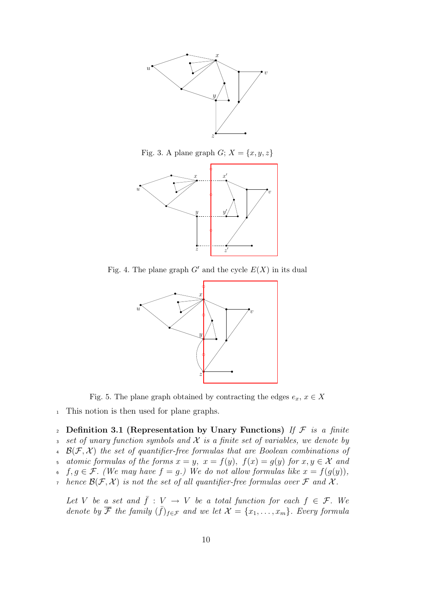

Fig. 3. A plane graph  $G; X = \{x, y, z\}$ 



Fig. 4. The plane graph  $G'$  and the cycle  $E(X)$  in its dual



Fig. 5. The plane graph obtained by contracting the edges  $e_x, x \in X$ 

<sup>1</sup> This notion is then used for plane graphs.

2 Definition 3.1 (Representation by Unary Functions) If  $\mathcal F$  is a finite 3 set of unary function symbols and  $\mathcal X$  is a finite set of variables, we denote by  $\mathcal{B}(\mathcal{F}, \mathcal{X})$  the set of quantifier-free formulas that are Boolean combinations of 5 atomic formulas of the forms  $x = y$ ,  $x = f(y)$ ,  $f(x) = g(y)$  for  $x, y \in \mathcal{X}$  and 6 f,  $g \in \mathcal{F}$ . (We may have  $f = g$ .) We do not allow formulas like  $x = f(g(y))$ , 7 hence  $\mathcal{B}(\mathcal{F},\mathcal{X})$  is not the set of all quantifier-free formulas over  $\mathcal F$  and  $\mathcal X$ . Let V be a set and  $\bar{f} : V \to V$  be a total function for each  $f \in \mathcal{F}$ . We denote by  $\overline{\mathcal{F}}$  the family  $(\overline{f})_{f \in \mathcal{F}}$  and we let  $\mathcal{X} = \{x_1, \ldots, x_m\}$ . Every formula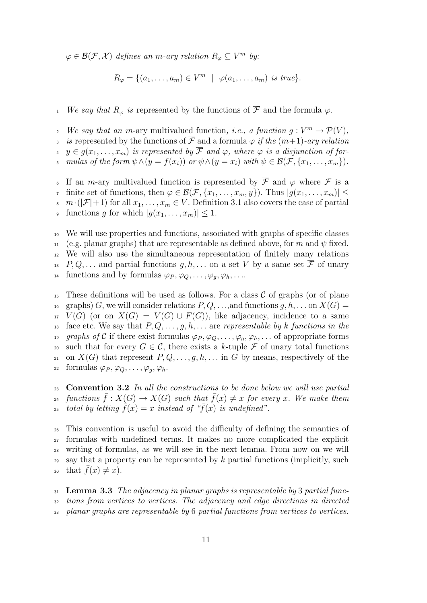$\varphi \in \mathcal{B}(\mathcal{F}, \mathcal{X})$  defines an m-ary relation  $R_{\varphi} \subseteq V^m$  by:

$$
R_{\varphi} = \{ (a_1, \ldots, a_m) \in V^m \mid \varphi(a_1, \ldots, a_m) \text{ is true} \}.
$$

<sup>1</sup> We say that  $R_{\varphi}$  is represented by the functions of  $\overline{\mathcal{F}}$  and the formula  $\varphi$ .

- We say that an m-ary multivalued function, *i.e.*, a function  $g: V^m \to \mathcal{P}(V)$ ,
- is represented by the functions of  $\overline{\mathcal{F}}$  and a formula  $\varphi$  if the  $(m+1)$ -ary relation
- $y \in g(x_1, \ldots, x_m)$  is represented by  $\overline{\mathcal{F}}$  and  $\varphi$ , where  $\varphi$  is a disjunction of for-
- mulas of the form  $\psi \wedge (y = f(x_i))$  or  $\psi \wedge (y = x_i)$  with  $\psi \in \mathcal{B}(\mathcal{F}, \{x_1, \ldots, x_m\})$ .

If an m-ary multivalued function is represented by  $\overline{\mathcal{F}}$  and  $\varphi$  where  $\mathcal F$  is a finite set of functions, then  $\varphi \in \mathcal{B}(\mathcal{F}, \{x_1, \ldots, x_m, y\})$ . Thus  $|g(x_1, \ldots, x_m)| \leq$ 8  $m \cdot (|\mathcal{F}|+1)$  for all  $x_1, \ldots, x_m \in V$ . Definition 3.1 also covers the case of partial 9 functions g for which  $|g(x_1, \ldots, x_m)| \leq 1$ .

<sup>10</sup> We will use properties and functions, associated with graphs of specific classes 11 (e.g. planar graphs) that are representable as defined above, for m and  $\psi$  fixed. <sup>12</sup> We will also use the simultaneous representation of finitely many relations <sup>13</sup> P, Q,... and partial functions  $q, h, \ldots$  on a set V by a same set  $\overline{\mathcal{F}}$  of unary <sup>14</sup> functions and by formulas  $\varphi_P, \varphi_Q, \ldots, \varphi_g, \varphi_h, \ldots$ 

<sup>15</sup> These definitions will be used as follows. For a class  $\mathcal C$  of graphs (or of plane <sup>16</sup> graphs) G, we will consider relations  $P, Q, \ldots$ , and functions  $g, h, \ldots$  on  $X(G) =$  $17 V(G)$  (or on  $X(G) = V(G) \cup F(G)$ ), like adjacency, incidence to a same <sup>18</sup> face etc. We say that  $P, Q, \ldots, g, h, \ldots$  are representable by k functions in the 19 graphs of C if there exist formulas  $\varphi_P, \varphi_Q, \ldots, \varphi_q, \varphi_h, \ldots$  of appropriate forms 20 such that for every  $G \in \mathcal{C}$ , there exists a k-tuple  $\mathcal F$  of unary total functions 21 on  $X(G)$  that represent  $P, Q, \ldots, g, h, \ldots$  in G by means, respectively of the 22 formulas  $\varphi_P, \varphi_Q, \ldots, \varphi_g, \varphi_h$ .

<sup>23</sup> Convention 3.2 In all the constructions to be done below we will use partial <sup>24</sup> functions  $\bar{f}: X(G) \to X(G)$  such that  $\bar{f}(x) \neq x$  for every x. We make them total by letting  $\bar{f}(x) = x$  instead of " $\bar{f}(x)$  is undefined".

<sup>26</sup> This convention is useful to avoid the difficulty of defining the semantics of <sup>27</sup> formulas with undefined terms. It makes no more complicated the explicit <sup>28</sup> writing of formulas, as we will see in the next lemma. From now on we will <sup>29</sup> say that a property can be represented by  $k$  partial functions (implicitly, such 30 that  $\bar{f}(x) \neq x$ ).

 $31$  Lemma 3.3 The adjacency in planar graphs is representable by 3 partial func-<sup>32</sup> tions from vertices to vertices. The adjacency and edge directions in directed planar graphs are representable by 6 partial functions from vertices to vertices.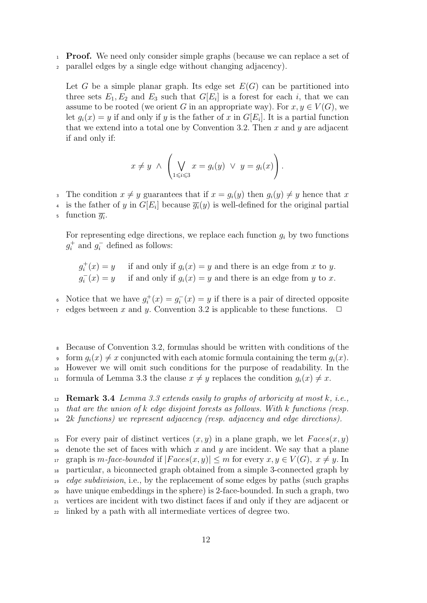- <sup>1</sup> Proof. We need only consider simple graphs (because we can replace a set of
- <sup>2</sup> parallel edges by a single edge without changing adjacency).

Let G be a simple planar graph. Its edge set  $E(G)$  can be partitioned into three sets  $E_1, E_2$  and  $E_3$  such that  $G[E_i]$  is a forest for each i, that we can assume to be rooted (we orient G in an appropriate way). For  $x, y \in V(G)$ , we let  $g_i(x) = y$  if and only if y is the father of x in  $G[E_i]$ . It is a partial function that we extend into a total one by Convention 3.2. Then  $x$  and  $y$  are adjacent if and only if:

$$
x \neq y \ \land \ \left( \bigvee_{1 \leq i \leq 3} x = g_i(y) \ \lor \ y = g_i(x) \right).
$$

- 3 The condition  $x \neq y$  guarantees that if  $x = g_i(y)$  then  $g_i(y) \neq y$  hence that x
- <sup>4</sup> is the father of y in  $G[E_i]$  because  $\overline{g_i}(y)$  is well-defined for the original partial
- $\frac{1}{g_i}$ .

For representing edge directions, we replace each function  $g_i$  by two functions  $g_i^+$  and  $g_i^-$  defined as follows:

$$
g_i^+(x) = y
$$
 if and only if  $g_i(x) = y$  and there is an edge from x to y.  
 $g_i^-(x) = y$  if and only if  $g_i(x) = y$  and there is an edge from y to x.

• Notice that we have  $g_i^+(x) = g_i^-(x) = y$  if there is a pair of directed opposite

- $\tau$  edges between x and y. Convention 3.2 is applicable to these functions.  $\Box$
- <sup>8</sup> Because of Convention 3.2, formulas should be written with conditions of the  $\varphi$  form  $q_i(x) \neq x$  conjuncted with each atomic formula containing the term  $q_i(x)$ .
- <sup>10</sup> However we will omit such conditions for the purpose of readability. In the
- 11 formula of Lemma 3.3 the clause  $x \neq y$  replaces the condition  $g_i(x) \neq x$ .

12 **Remark 3.4** Lemma 3.3 extends easily to graphs of arboricity at most  $k$ , i.e.,  $13$  that are the union of k edge disjoint forests as follows. With k functions (resp. <sup>14</sup> 2k functions) we represent adjacency (resp. adjacency and edge directions).

<sup>15</sup> For every pair of distinct vertices  $(x, y)$  in a plane graph, we let  $Faces(x, y)$ <sup>16</sup> denote the set of faces with which x and y are incident. We say that a plane 17 graph is m-face-bounded if  $|Faces(x, y)| \le m$  for every  $x, y \in V(G)$ ,  $x \ne y$ . In <sup>18</sup> particular, a biconnected graph obtained from a simple 3-connected graph by <sup>19</sup> edge subdivision, i.e., by the replacement of some edges by paths (such graphs <sup>20</sup> have unique embeddings in the sphere) is 2-face-bounded. In such a graph, two <sup>21</sup> vertices are incident with two distinct faces if and only if they are adjacent or <sup>22</sup> linked by a path with all intermediate vertices of degree two.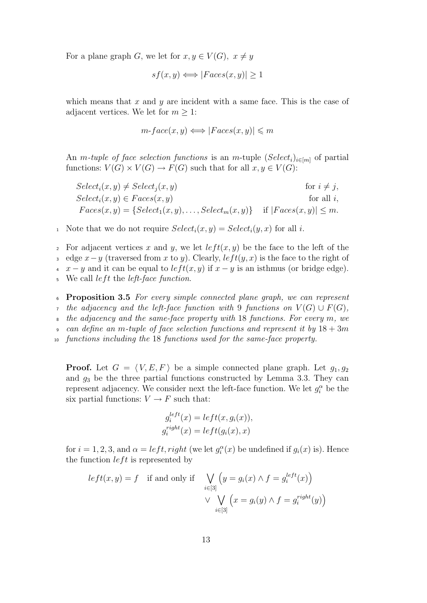For a plane graph G, we let for  $x, y \in V(G)$ ,  $x \neq y$ 

$$
sf(x, y) \Longleftrightarrow |Faces(x, y)| \ge 1
$$

which means that  $x$  and  $y$  are incident with a same face. This is the case of adjacent vertices. We let for  $m \geq 1$ :

$$
m\text{-}face(x, y) \Longleftrightarrow |Faces(x, y)| \leq m
$$

An *m*-tuple of face selection functions is an *m*-tuple  $(Select_i)_{i \in [m]}$  of partial functions:  $V(G) \times V(G) \rightarrow F(G)$  such that for all  $x, y \in V(G)$ :

 $Select_i(x, y) \neq Select_i(x, y)$  for  $i \neq j$ ,  $Select_i(x, y) \in Faces(x, y)$  for all i,  $Faces(x, y) = \{Select_1(x, y), \ldots, Select_m(x, y) \}$  if  $|Faces(x, y)| \leq m$ .

<sup>1</sup> Note that we do not require  $Select_i(x, y) = Select_i(y, x)$  for all *i*.

2 For adjacent vertices x and y, we let  $left(x, y)$  be the face to the left of the 3 edge  $x-y$  (traversed from x to y). Clearly,  $left(y, x)$  is the face to the right of  $\begin{bmatrix} 4 & x - y \end{bmatrix}$  and it can be equal to  $left(x, y)$  if  $x - y$  is an isthmus (or bridge edge).  $5$  We call *left* the *left-face function*.

<sup>6</sup> Proposition 3.5 For every simple connected plane graph, we can represent 7 the adjacency and the left-face function with 9 functions on  $V(G) \cup F(G)$ , the adjacency and the same-face property with  $18$  functions. For every m, we can define an m-tuple of face selection functions and represent it by  $18 + 3m$ <sup>10</sup> functions including the 18 functions used for the same-face property.

**Proof.** Let  $G = \langle V, E, F \rangle$  be a simple connected plane graph. Let  $g_1, g_2$ and  $g_3$  be the three partial functions constructed by Lemma 3.3. They can represent adjacency. We consider next the left-face function. We let  $g_i^{\alpha}$  be the six partial functions:  $V \to F$  such that:

$$
g_i^{left}(x) = left(x, g_i(x)),
$$
  

$$
g_i^{right}(x) = left(g_i(x), x)
$$

for  $i = 1, 2, 3$ , and  $\alpha = left$ , right (we let  $g_i^{\alpha}(x)$  be undefined if  $g_i(x)$  is). Hence the function  $left$  is represented by

$$
left(x, y) = f \quad \text{if and only if} \quad \bigvee_{i \in [3]} \left( y = g_i(x) \land f = g_i^{left}(x) \right) \right)
$$

$$
\lor \bigvee_{i \in [3]} \left( x = g_i(y) \land f = g_i^{right}(y) \right)
$$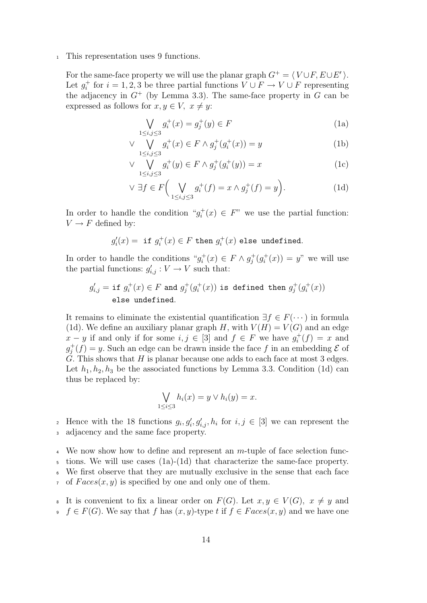<sup>1</sup> This representation uses 9 functions.

For the same-face property we will use the planar graph  $G^+ = \langle V \cup F, E \cup E' \rangle$ . Let  $g_i^+$  for  $i = 1, 2, 3$  be three partial functions  $V \cup F \to V \cup F$  representing the adjacency in  $G^+$  (by Lemma 3.3). The same-face property in G can be expressed as follows for  $x, y \in V$ ,  $x \neq y$ :

$$
\bigvee_{1 \le i,j \le 3} g_i^+(x) = g_j^+(y) \in F
$$
\n(1a)

$$
\vee \bigvee_{1 \le i,j \le 3} g_i^+(x) \in F \wedge g_j^+(g_i^+(x)) = y \tag{1b}
$$

$$
\vee \bigvee_{1 \le i,j \le 3} g_i^+(y) \in F \wedge g_j^+(g_i^+(y)) = x \tag{1c}
$$

$$
\vee \exists f \in F\bigg(\bigvee_{1 \le i,j \le 3} g_i^+(f) = x \wedge g_j^+(f) = y\bigg). \tag{1d}
$$

In order to handle the condition " $g_i^+(x) \in F$ " we use the partial function:  $V \rightarrow F$  defined by:

$$
g'_i(x)=\text{ if }g_i^+(x)\in F\text{ then }g_i^+(x)\text{ else undefined.}
$$

In order to handle the conditions " $g_i^+(x) \in F \wedge g_j^+(g_i^+(x)) = y$ " we will use the partial functions:  $g'_{i,j} : V \to V$  such that:

$$
g'_{i,j} = \text{if } g_i^+(x) \in F \text{ and } g_j^+(g_i^+(x)) \text{ is defined then } g_j^+(g_i^+(x))
$$
 else undefined.

It remains to eliminate the existential quantification  $\exists f \in F(\cdots)$  in formula (1d). We define an auxiliary planar graph H, with  $V(H) = V(G)$  and an edge  $x - y$  if and only if for some  $i, j \in [3]$  and  $f \in F$  we have  $g_i^+(f) = x$  and  $g_j^+(f) = y$ . Such an edge can be drawn inside the face f in an embedding  $\mathcal E$  of  $\check{G}$ . This shows that H is planar because one adds to each face at most 3 edges. Let  $h_1, h_2, h_3$  be the associated functions by Lemma 3.3. Condition (1d) can thus be replaced by:

$$
\bigvee_{1 \leq i \leq 3} h_i(x) = y \vee h_i(y) = x.
$$

<sup>2</sup> Hence with the 18 functions  $g_i, g'_i, g'_{i,j}, h_i$  for  $i, j \in [3]$  we can represent the <sup>3</sup> adjacency and the same face property.

 $\frac{4}{4}$  We now show how to define and represent an m-tuple of face selection func-

<sup>5</sup> tions. We will use cases (1a)-(1d) that characterize the same-face property.

We first observe that they are mutually exclusive in the sense that each face  $\tau$  of  $Faces(x, y)$  is specified by one and only one of them.

- 8 It is convenient to fix a linear order on  $F(G)$ . Let  $x, y \in V(G)$ ,  $x \neq y$  and
- $\mathfrak{g} \quad f \in F(G)$ . We say that f has  $(x, y)$ -type t if  $f \in Faces(x, y)$  and we have one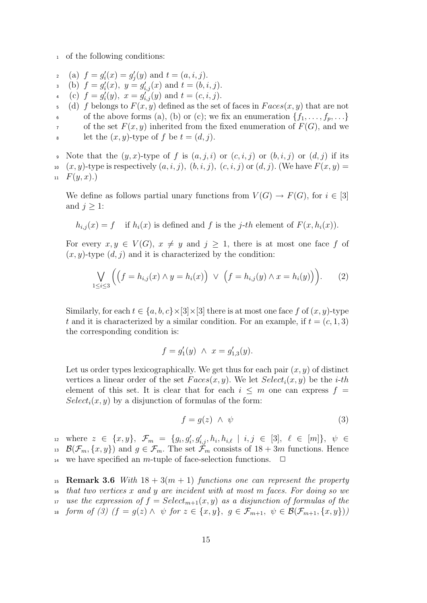<sup>1</sup> of the following conditions:

- 2 (a)  $f = g_i'(x) = g_j'(y)$  and  $t = (a, i, j)$ .
- 3 (b)  $f = g'_i(x)$ ,  $y = g'_{i,j}(x)$  and  $t = (b, i, j)$ .
- 4 (c)  $f = g_i'(y)$ ,  $x = g_{i,j}'(y)$  and  $t = (c, i, j)$ .
- 5 (d) f belongs to  $F(x, y)$  defined as the set of faces in  $Faces(x, y)$  that are not 6 of the above forms (a), (b) or (c); we fix an enumeration  $\{f_1, \ldots, f_p, \ldots\}$ of the set  $F(x, y)$  inherited from the fixed enumeration of  $F(G)$ , and we s let the  $(x, y)$ -type of f be  $t = (d, j)$ .

9 Note that the  $(y, x)$ -type of f is  $(a, j, i)$  or  $(c, i, j)$  or  $(b, i, j)$  or  $(d, j)$  if its 10  $(x, y)$ -type is respectively  $(a, i, j)$ ,  $(b, i, j)$ ,  $(c, i, j)$  or  $(d, j)$ . (We have  $F(x, y) =$  $F(y, x)$ .

We define as follows partial unary functions from  $V(G) \to F(G)$ , for  $i \in [3]$ and  $j \geq 1$ :

 $h_{i,j}(x) = f$  if  $h_i(x)$  is defined and f is the j-th element of  $F(x, h_i(x))$ .

For every  $x, y \in V(G)$ ,  $x \neq y$  and  $j \geq 1$ , there is at most one face f of  $(x, y)$ -type  $(d, j)$  and it is characterized by the condition:

$$
\bigvee_{1 \leq i \leq 3} \Big( \big(f = h_{i,j}(x) \land y = h_i(x)\big) \lor \big(f = h_{i,j}(y) \land x = h_i(y)\big)\Big). \tag{2}
$$

Similarly, for each  $t \in \{a, b, c\} \times [3] \times [3]$  there is at most one face f of  $(x, y)$ -type t and it is characterized by a similar condition. For an example, if  $t = (c, 1, 3)$ the corresponding condition is:

$$
f = g_1'(y) \ \wedge \ x = g_{1,3}'(y).
$$

Let us order types lexicographically. We get thus for each pair  $(x, y)$  of distinct vertices a linear order of the set  $Faces(x, y)$ . We let  $Select_i(x, y)$  be the *i-th* element of this set. It is clear that for each  $i \leq m$  one can express  $f =$  $Select_i(x, y)$  by a disjunction of formulas of the form:

$$
f = g(z) \ \land \ \psi \tag{3}
$$

 $\mathcal{L}_{12}$  where  $z \in \{x, y\}, \; \mathcal{F}_m = \{g_i, g'_i, g'_{i,j}, h_i, h_{i,\ell} \mid i,j \in [3], \; \ell \in [m]\}, \; \psi \in \mathcal{L}$ <sup>13</sup>  $\mathcal{B}(\mathcal{F}_m, \{x, y\})$  and  $g \in \mathcal{F}_m$ . The set  $\tilde{\mathcal{F}}_m$  consists of  $18 + 3m$  functions. Hence <sup>14</sup> we have specified an *m*-tuple of face-selection functions.  $\Box$ 

<sup>15</sup> Remark 3.6 With  $18 + 3(m + 1)$  functions one can represent the property <sup>16</sup> that two vertices x and y are incident with at most m faces. For doing so we 17 use the expression of  $f = Select_{m+1}(x, y)$  as a disjunction of formulas of the form of (3)  $(f = g(z) \land \psi$  for  $z \in \{x, y\}, g \in \mathcal{F}_{m+1}, \psi \in \mathcal{B}(\mathcal{F}_{m+1}, \{x, y\})$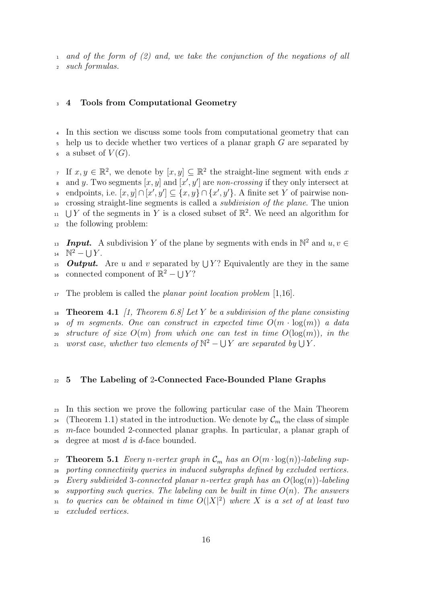<sup>1</sup> and of the form of (2) and, we take the conjunction of the negations of all <sup>2</sup> such formulas.

#### <sup>3</sup> 4 Tools from Computational Geometry

<sup>4</sup> In this section we discuss some tools from computational geometry that can  $\mathfrak s$  help us to decide whether two vertices of a planar graph G are separated by a subset of  $V(G)$ .

If  $x, y \in \mathbb{R}^2$ , we denote by  $[x, y] \subseteq \mathbb{R}^2$  the straight-line segment with ends x a and y. Two segments  $[x, y]$  and  $[x', y']$  are non-crossing if they only intersect at ∘ endpoints, i.e.  $[x, y] \cap [x', y'] \subseteq \{x, y\} \cap \{x', y'\}$ . A finite set Y of pairwise non-<sup>10</sup> crossing straight-line segments is called a subdivision of the plane. The union <sup>11</sup> UY of the segments in Y is a closed subset of  $\mathbb{R}^2$ . We need an algorithm for <sup>12</sup> the following problem:

13 **Input.** A subdivision Y of the plane by segments with ends in  $\mathbb{N}^2$  and  $u, v \in$ 14  $\mathbb{N}^2 - \bigcup Y$ .

<sup>15</sup> **Output.** Are u and v separated by  $\bigcup Y$ ? Equivalently are they in the same <sup>16</sup> connected component of  $\mathbb{R}^2 - \bigcup Y$ ?

 $_{17}$  The problem is called the *planar point location problem* [1,16].

18 **Theorem 4.1** [1, Theorem 6.8] Let Y be a subdivision of the plane consisting 19 of m segments. One can construct in expected time  $O(m \cdot \log(m))$  a data 20 structure of size  $O(m)$  from which one can test in time  $O(\log(m))$ , in the 21 worst case, whether two elements of  $\mathbb{N}^2 - \bigcup Y$  are separated by  $\bigcup Y$ .

#### <sup>22</sup> 5 The Labeling of 2-Connected Face-Bounded Plane Graphs

<sup>23</sup> In this section we prove the following particular case of the Main Theorem <sup>24</sup> (Theorem 1.1) stated in the introduction. We denote by  $\mathcal{C}_m$  the class of simple <sup>25</sup> m-face bounded 2-connected planar graphs. In particular, a planar graph of  $\alpha$  degree at most d is d-face bounded.

27 **Theorem 5.1** Every n-vertex graph in  $\mathcal{C}_m$  has an  $O(m \cdot \log(n))$ -labeling sup-<sup>28</sup> porting connectivity queries in induced subgraphs defined by excluded vertices. 29 Every subdivided 3-connected planar n-vertex graph has an  $O(\log(n))$ -labeling 30 supporting such queries. The labeling can be built in time  $O(n)$ . The answers 31 to queries can be obtained in time  $O(|X|^2)$  where X is a set of at least two <sup>32</sup> excluded vertices.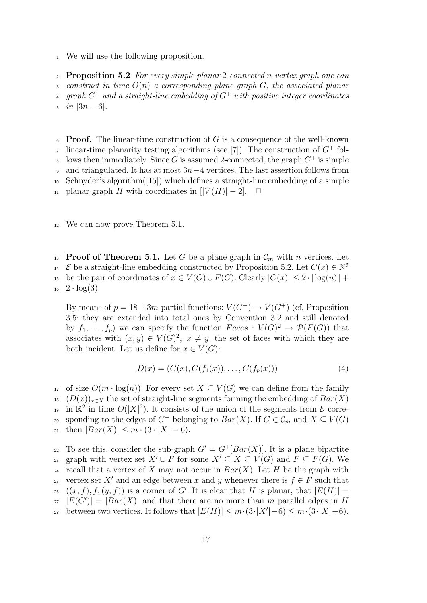<sup>1</sup> We will use the following proposition.

**Proposition 5.2** For every simple planar 2-connected n-vertex graph one can 3 construct in time  $O(n)$  a corresponding plane graph G, the associated planar 4 graph  $G^+$  and a straight-line embedding of  $G^+$  with positive integer coordinates  $\sin \left[ 3n - 6 \right]$ .

- **Proof.** The linear-time construction of  $G$  is a consequence of the well-known linear-time planarity testing algorithms (see [7]). The construction of  $G^+$  fols lows then immediately. Since G is assumed 2-connected, the graph  $G^+$  is simple
- 
- 9 and triangulated. It has at most  $3n-4$  vertices. The last assertion follows from
- <sup>10</sup> Schnyder's algorithm([15]) which defines a straight-line embedding of a simple
- 11 planar graph H with coordinates in  $[|V(H)|-2]$ . □
- <sup>12</sup> We can now prove Theorem 5.1.

<sup>13</sup> Proof of Theorem 5.1. Let G be a plane graph in  $\mathcal{C}_m$  with n vertices. Let  $\mathcal E$  be a straight-line embedding constructed by Proposition 5.2. Let  $C(x) \in \mathbb N^2$ 14 15 be the pair of coordinates of  $x \in V(G) \cup F(G)$ . Clearly  $|C(x)| \leq 2 \cdot \lceil \log(n) \rceil +$  $_{16}$   $2 \cdot \log(3)$ .

By means of  $p = 18 + 3m$  partial functions:  $V(G^+) \to V(G^+)$  (cf. Proposition 3.5; they are extended into total ones by Convention 3.2 and still denoted by  $f_1, \ldots, f_p$  we can specify the function  $Faces: V(G)^2 \to \mathcal{P}(F(G))$  that associates with  $(x, y) \in V(G)^2$ ,  $x \neq y$ , the set of faces with which they are both incident. Let us define for  $x \in V(G)$ :

$$
D(x) = (C(x), C(f_1(x)), \dots, C(f_p(x)))
$$
\n(4)

17 of size  $O(m \cdot \log(n))$ . For every set  $X \subseteq V(G)$  we can define from the family  $(D(x))_{x\in X}$  the set of straight-line segments forming the embedding of  $Bar(X)$ <sup>19</sup> in  $\mathbb{R}^2$  in time  $O(|X|^2)$ . It consists of the union of the segments from  $\mathcal E$  corresponding to the edges of  $G^+$  belonging to  $Bar(X)$ . If  $G \in \mathcal{C}_m$  and  $X \subseteq V(G)$ 21 then  $|Bar(X)| \leq m \cdot (3 \cdot |X| - 6)$ .

z To see this, consider the sub-graph  $G' = G^+[Bar(X)]$ . It is a plane bipartite 23 graph with vertex set  $X' \cup F$  for some  $X' \subseteq X \subseteq V(G)$  and  $F \subseteq F(G)$ . We <sup>24</sup> recall that a vertex of X may not occur in  $Bar(X)$ . Let H be the graph with 25 vertex set X' and an edge between x and y whenever there is  $f \in F$  such that  $( (x, f), f, (y, f) )$  is a corner of G'. It is clear that H is planar, that  $|E(H)| =$  $|E(G')| = |Bar(X)|$  and that there are no more than m parallel edges in H between two vertices. It follows that  $|E(H)| \leq m \cdot (3 \cdot |X'| - 6) \leq m \cdot (3 \cdot |X| - 6)$ .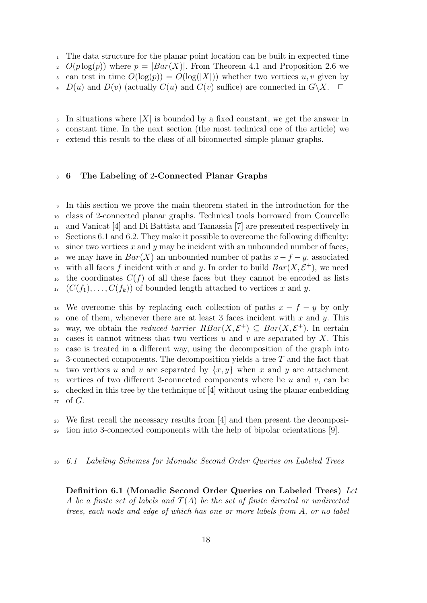<sup>1</sup> The data structure for the planar point location can be built in expected time

2  $O(p \log(p))$  where  $p = |Bar(X)|$ . From Theorem 4.1 and Proposition 2.6 we

3 can test in time  $O(log(p)) = O(log(|X|))$  whether two vertices u, v given by

 $D(u)$  and  $D(v)$  (actually  $C(u)$  and  $C(v)$  suffice) are connected in  $G\backslash X$ .

 $\mathfrak s$  In situations where  $|X|$  is bounded by a fixed constant, we get the answer in <sup>6</sup> constant time. In the next section (the most technical one of the article) we

extend this result to the class of all biconnected simple planar graphs.

#### <sup>8</sup> 6 The Labeling of 2-Connected Planar Graphs

<sup>9</sup> In this section we prove the main theorem stated in the introduction for the <sup>10</sup> class of 2-connected planar graphs. Technical tools borrowed from Courcelle <sup>11</sup> and Vanicat [4] and Di Battista and Tamassia [7] are presented respectively in  $12$  Sections 6.1 and 6.2. They make it possible to overcome the following difficulty: 13 since two vertices x and y may be incident with an unbounded number of faces. <sup>14</sup> we may have in  $Bar(X)$  an unbounded number of paths  $x - f - y$ , associated <sup>15</sup> with all faces f incident with x and y. In order to build  $Bar(X, \mathcal{E}^+)$ , we need <sup>16</sup> the coordinates  $C(f)$  of all these faces but they cannot be encoded as lists  $17 \left( C(f_1), \ldots, C(f_k) \right)$  of bounded length attached to vertices x and y.

18 We overcome this by replacing each collection of paths  $x - f - y$  by only 19 one of them, whenever there are at least 3 faces incident with x and y. This 20 way, we obtain the *reduced barrier RBar* $(X, \mathcal{E}^+) \subseteq Bar(X, \mathcal{E}^+)$ . In certain <sup>21</sup> cases it cannot witness that two vertices u and v are separated by X. This <sup>22</sup> case is treated in a different way, using the decomposition of the graph into 23 3-connected components. The decomposition yields a tree  $T$  and the fact that <sup>24</sup> two vertices u and v are separated by  $\{x, y\}$  when x and y are attachment 25 vertices of two different 3-connected components where lie u and v, can be <sup>26</sup> checked in this tree by the technique of [4] without using the planar embedding  $27$  of  $G$ .

<sup>28</sup> We first recall the necessary results from [4] and then present the decomposi-<sup>29</sup> tion into 3-connected components with the help of bipolar orientations [9].

#### <sup>30</sup> 6.1 Labeling Schemes for Monadic Second Order Queries on Labeled Trees

Definition 6.1 (Monadic Second Order Queries on Labeled Trees) Let A be a finite set of labels and  $\mathcal{T}(A)$  be the set of finite directed or undirected trees, each node and edge of which has one or more labels from A, or no label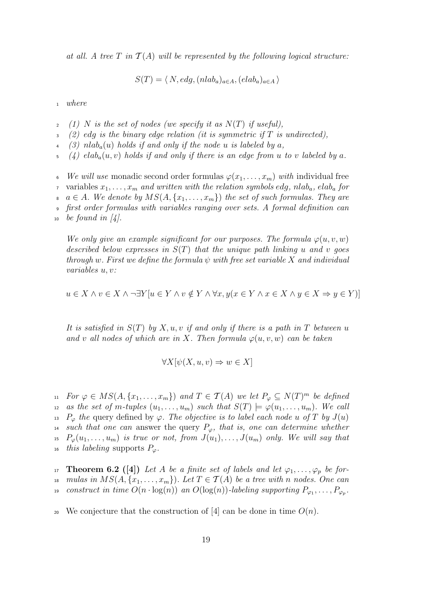at all. A tree T in  $\mathcal{T}(A)$  will be represented by the following logical structure:

$$
S(T) = \langle N, edg, (nlab_a)_{a \in A}, (elab_a)_{a \in A} \rangle
$$

<sup>1</sup> where

- (1) N is the set of nodes (we specify it as  $N(T)$  if useful),
- (2) edg is the binary edge relation (it is symmetric if  $T$  is undirected),
- (3) nlab<sub>a</sub>(u) holds if and only if the node u is labeled by a,
- $(4)$  elab<sub>a</sub> $(u, v)$  holds if and only if there is an edge from u to v labeled by a.
- 6 We will use monadic second order formulas  $\varphi(x_1, \ldots, x_m)$  with individual free <sup>7</sup> variables  $x_1, \ldots, x_m$  and written with the relation symbols edg, nlab<sub>a</sub>, elab<sub>a</sub> for  $a \in A$ . We denote by  $MS(A, \{x_1, \ldots, x_m\})$  the set of such formulas. They are <sup>9</sup> first order formulas with variables ranging over sets. A formal definition can

We only give an example significant for our purposes. The formula  $\varphi(u, v, w)$ described below expresses in  $S(T)$  that the unique path linking u and v goes through w. First we define the formula  $\psi$  with free set variable X and individual variables u, v:

$$
u \in X \land v \in X \land \neg \exists Y[u \in Y \land v \notin Y \land \forall x, y(x \in Y \land x \in X \land y \in X \Rightarrow y \in Y)]
$$

It is satisfied in  $S(T)$  by X, u, v if and only if there is a path in T between u and v all nodes of which are in X. Then formula  $\varphi(u, v, w)$  can be taken

$$
\forall X[\psi(X, u, v) \Rightarrow w \in X]
$$

11 For  $\varphi \in MS(A, \{x_1, \ldots, x_m\})$  and  $T \in \mathcal{T}(A)$  we let  $P_{\varphi} \subseteq N(T)^m$  be defined as the set of m-tuples  $(u_1, \ldots, u_m)$  such that  $S(T) \models \varphi(u_1, \ldots, u_m)$ . We call <sup>13</sup> P<sub> $\varphi$ </sub> the query defined by  $\varphi$ . The objective is to label each node u of T by  $J(u)$ <sup>14</sup> such that one can answer the query  $P_{\varphi}$ , that is, one can determine whether <sup>15</sup>  $P_{\varphi}(u_1,\ldots,u_m)$  is true or not, from  $J(u_1),\ldots,J(u_m)$  only. We will say that <sup>16</sup> this labeling supports  $P_\varphi$ .

17 **Theorem 6.2** ([4]) Let A be a finite set of labels and let  $\varphi_1, \ldots, \varphi_p$  be for-<sup>18</sup> mulas in  $MS(A, \{x_1, \ldots, x_m\})$ . Let  $T \in \mathcal{T}(A)$  be a tree with n nodes. One can <sup>19</sup> construct in time  $O(n\cdot \log(n))$  an  $O(\log(n))$ -labeling supporting  $P_{\varphi_1},\ldots,P_{\varphi_p}.$ 

20 We conjecture that the construction of [4] can be done in time  $O(n)$ .

<sup>10</sup> be found in  $\mathcal{A}$ .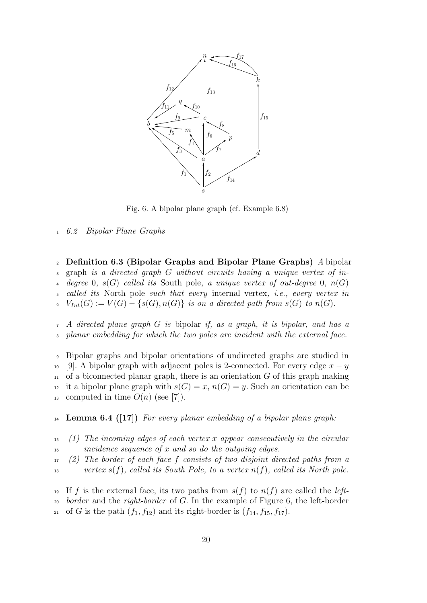

Fig. 6. A bipolar plane graph (cf. Example 6.8)

<sup>1</sup> 6.2 Bipolar Plane Graphs

<sup>2</sup> Definition 6.3 (Bipolar Graphs and Bipolar Plane Graphs) A bipolar  $graph$  is a directed graph G without circuits having a unique vertex of indegree 0,  $s(G)$  called its South pole, a unique vertex of out-degree 0,  $n(G)$ called its North pole such that every internal vertex, i.e., every vertex in  $V_{Int}(G) := V(G) - \{s(G), n(G)\}\$ is on a directed path from  $s(G)$  to  $n(G)$ .

<sup>7</sup> A directed plane graph G is bipolar if, as a graph, it is bipolar, and has a planar embedding for which the two poles are incident with the external face.

<sup>9</sup> Bipolar graphs and bipolar orientations of undirected graphs are studied in 10 [9]. A bipolar graph with adjacent poles is 2-connected. For every edge  $x - y$  $_{11}$  of a biconnected planar graph, there is an orientation G of this graph making <sup>12</sup> it a bipolar plane graph with  $s(G) = x$ ,  $n(G) = y$ . Such an orientation can be 13 computed in time  $O(n)$  (see [7]).

14 **Lemma 6.4** ([17]) For every planar embedding of a bipolar plane graph:

 $15 \quad (1)$  The incoming edges of each vertex x appear consecutively in the circular  $16$  incidence sequence of x and so do the outgoing edges.

 $17$  (2) The border of each face f consists of two disjoint directed paths from a <sup>18</sup> vertex  $s(f)$ , called its South Pole, to a vertex  $n(f)$ , called its North pole.

<sup>19</sup> If f is the external face, its two paths from  $s(f)$  to  $n(f)$  are called the *left*-<sup>20</sup> border and the right-border of G. In the example of Figure 6, the left-border 21 of G is the path  $(f_1, f_{12})$  and its right-border is  $(f_{14}, f_{15}, f_{17})$ .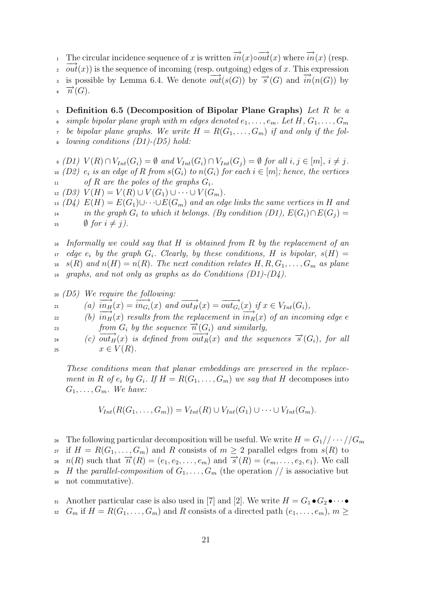The circular incidence sequence of x is written  $\overrightarrow{in}(x) \circ \overrightarrow{out}(x)$  where  $\overrightarrow{in}(x)$  (resp.  $\overrightarrow{out}(x)$ ) is the sequence of incoming (resp. outgoing) edges of x. This expression is possible by Lemma 6.4. We denote  $\overline{out}(s(G))$  by  $\overrightarrow{s}(G)$  and  $\overline{in}(n(G))$  by 4  $\overrightarrow{n}(G)$ .

5 Definition 6.5 (Decomposition of Bipolar Plane Graphs) Let R be a simple bipolar plane graph with m edges denoted  $e_1, \ldots, e_m$ . Let H,  $G_1, \ldots, G_m$ <sup>7</sup> be bipolar plane graphs. We write  $H = R(G_1, \ldots, G_m)$  if and only if the following conditions  $(D1)-(D5)$  hold:

 $\mathfrak{g}(D1)$   $V(R) \cap V_{Int}(G_i) = \emptyset$  and  $V_{Int}(G_i) \cap V_{Int}(G_j) = \emptyset$  for all  $i, j \in [m], i \neq j$ . 10 (D2)  $e_i$  is an edge of R from  $s(G_i)$  to  $n(G_i)$  for each  $i \in [m]$ ; hence, the vertices 11 of R are the poles of the graphs  $G_i$ .

12 (D3)  $V(H) = V(R) \cup V(G_1) \cup \cdots \cup V(G_m)$ .

 $_{13}$  (D4)  $E(H) = E(G_1) \cup \cdots \cup E(G_m)$  and an edge links the same vertices in H and <sup>14</sup> in the graph  $G_i$  to which it belongs. (By condition (D1),  $E(G_i) \cap E(G_j) =$ 15  $\emptyset$  for  $i \neq j$ ).

 $16$  Informally we could say that H is obtained from R by the replacement of an  $17$  edge  $e_i$  by the graph  $G_i$ . Clearly, by these conditions, H is bipolar,  $s(H)$  = <sup>18</sup> s(R) and  $n(H) = n(R)$ . The next condition relates  $H, R, G_1, \ldots, G_m$  as plane graphs, and not only as graphs as do Conditions  $(D1)-(D4)$ .

$$
\begin{array}{ll}\n\text{20} & \text{(D5)} & \text{We require the following:} \\
\text{21} & \text{(a) } \overrightarrow{in_H}(x) = \overrightarrow{in_{G_i}}(x) \text{ and } \overrightarrow{out_H}(x) = \overrightarrow{out_{G_i}}(x) \text{ if } x \in V_{Int}(G_i), \\
\text{22} & \text{(b) } \overrightarrow{in_H}(x) \text{ results from the replacement in } \overrightarrow{in_R}(x) \text{ of an incoming edge } e \\
\text{23} & \text{from } G_i \text{ by the sequence } \overrightarrow{n}(G_i) \text{ and similarly,} \\
\text{24} & \text{(c) } \overrightarrow{out_H}(x) \text{ is defined from } \overrightarrow{out_R}(x) \text{ and the sequences } \overrightarrow{s}(G_i), \text{ for all} \\
\text{25} & x \in V(R).\n\end{array}
$$

These conditions mean that planar embeddings are preserved in the replacement in R of  $e_i$  by  $G_i$ . If  $H = R(G_1, \ldots, G_m)$  we say that H decomposes into  $G_1, \ldots, G_m$ . We have:

$$
V_{Int}(R(G_1,\ldots,G_m))=V_{Int}(R)\cup V_{Int}(G_1)\cup\cdots\cup V_{Int}(G_m).
$$

<sup>26</sup> The following particular decomposition will be useful. We write  $H = G_1//\cdots/(G_m)$ 

27 if  $H = R(G_1, \ldots, G_m)$  and R consists of  $m \geq 2$  parallel edges from  $s(R)$  to  $n(R)$  such that  $\overrightarrow{n}(R) = (e_1, e_2, \ldots, e_m)$  and  $\overrightarrow{s}(R) = (e_m, \ldots, e_2, e_1)$ . We call

29 H the parallel-composition of  $G_1, \ldots, G_m$  (the operation // is associative but

<sup>30</sup> not commutative).

31 Another particular case is also used in [7] and [2]. We write  $H = G_1 \bullet G_2 \bullet \cdots \bullet$ <sup>32</sup>  $G_m$  if  $H = R(G_1, \ldots, G_m)$  and R consists of a directed path  $(e_1, \ldots, e_m)$ ,  $m \geq$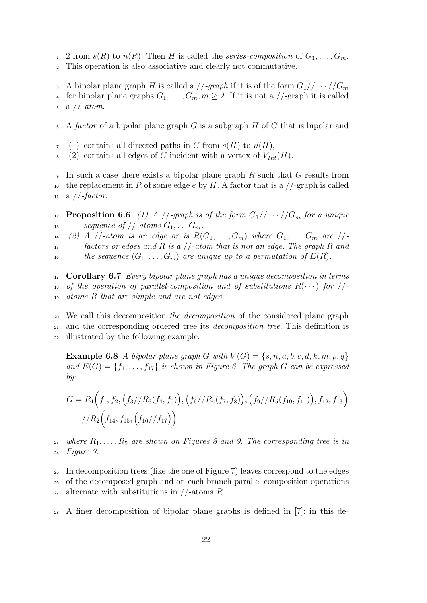- 1 2 from  $s(R)$  to  $n(R)$ . Then H is called the series-composition of  $G_1, \ldots, G_m$ .
- <sup>2</sup> This operation is also associative and clearly not commutative.
- 3 A bipolar plane graph H is called a  $//\text{-}graph$  if it is of the form  $G_1//\cdots//G_m$ 4 for bipolar plane graphs  $G_1, \ldots, G_m, m \geq 2$ . If it is not a //-graph it is called  $5 \text{ a } //-atom.$
- A factor of a bipolar plane graph  $G$  is a subgraph  $H$  of  $G$  that is bipolar and
- $7 \quad (1)$  contains all directed paths in G from  $s(H)$  to  $n(H)$ ,
- 8 (2) contains all edges of G incident with a vertex of  $V_{Int}(H)$ .

In such a case there exists a bipolar plane graph R such that G results from 10 the replacement in R of some edge e by H. A factor that is a  $//$ -graph is called  $11$  a //-factor.

12 **Proposition 6.6** (1) A //-graph is of the form  $G_1//\cdots/(G_m$  for a unique 13 sequence of  $//-atoms G_1, \ldots G_m$ .

- $14$  (2) A //-atom is an edge or is  $R(G_1, \ldots, G_m)$  where  $G_1, \ldots, G_m$  are //-
- $15$  factors or edges and R is a  $\ell$ -atom that is not an edge. The graph R and 16 the sequence  $(G_1, \ldots, G_m)$  are unique up to a permutation of  $E(R)$ .

 $17$  Corollary 6.7 Every bipolar plane graph has a unique decomposition in terms 18 of the operation of parallel-composition and of substitutions  $R(\cdots)$  for //-<sup>19</sup> atoms R that are simple and are not edges.

<sup>20</sup> We call this decomposition the decomposition of the considered plane graph <sup>21</sup> and the corresponding ordered tree its decomposition tree. This definition is <sup>22</sup> illustrated by the following example.

**Example 6.8** A bipolar plane graph G with  $V(G) = \{s, n, a, b, c, d, k, m, p, q\}$ and  $E(G) = \{f_1, \ldots, f_{17}\}\$ is shown in Figure 6. The graph G can be expressed by:

$$
G = R_1(f_1, f_2, (f_3//R_3(f_4, f_5)), (f_6//R_4(f_7, f_8)), (f_9//R_5(f_{10}, f_{11})), f_{12}, f_{13})
$$

$$
//R_2(f_{14}, f_{15}, (f_{16}//f_{17}))
$$

23 where  $R_1, \ldots, R_5$  are shown on Figures 8 and 9. The corresponding tree is in <sup>24</sup> Figure 7.

<sup>25</sup> In decomposition trees (like the one of Figure 7) leaves correspond to the edges <sup>26</sup> of the decomposed graph and on each branch parallel composition operations 27 alternate with substitutions in  $//$ -atoms  $R$ .

<sup>28</sup> A finer decomposition of bipolar plane graphs is defined in [7]: in this de-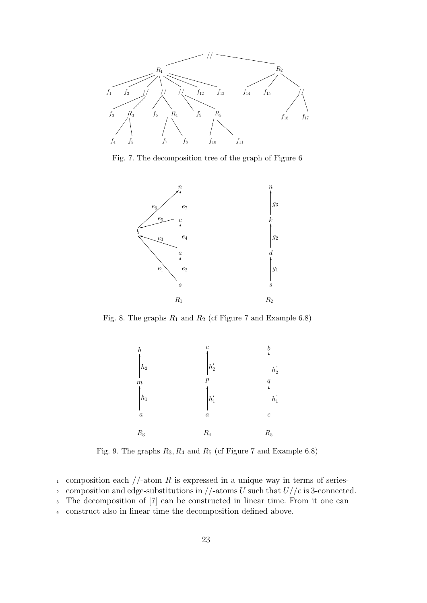

Fig. 7. The decomposition tree of the graph of Figure 6



Fig. 8. The graphs  $R_1$  and  $R_2$  (cf Figure 7 and Example 6.8)



Fig. 9. The graphs  $R_3, R_4$  and  $R_5$  (cf Figure 7 and Example 6.8)

- 1 composition each  $//$ -atom R is expressed in a unique way in terms of series-
- 2 composition and edge-substitutions in  $//$ -atoms U such that  $U//e$  is 3-connected.
- <sup>3</sup> The decomposition of [7] can be constructed in linear time. From it one can
- <sup>4</sup> construct also in linear time the decomposition defined above.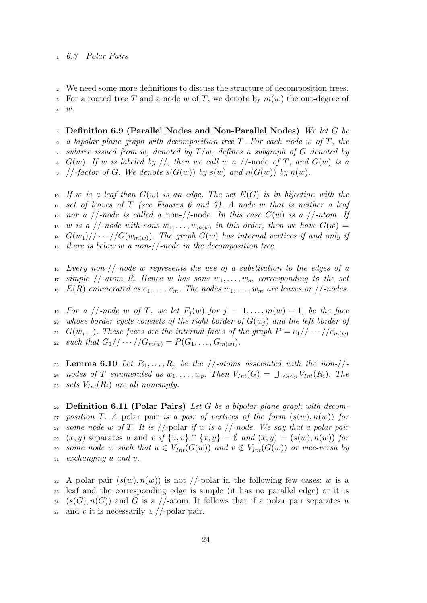#### <sup>1</sup> 6.3 Polar Pairs

We need some more definitions to discuss the structure of decomposition trees. 3 For a rooted tree T and a node w of T, we denote by  $m(w)$  the out-degree of <sup>4</sup> w.

 $5$  Definition 6.9 (Parallel Nodes and Non-Parallel Nodes) We let G be a bipolar plane graph with decomposition tree  $T$ . For each node w of  $T$ , the subtree issued from w, denoted by  $T/w$ , defines a subgraph of G denoted by  $G(w)$ . If w is labeled by //, then we call w a //-node of T, and  $G(w)$  is a //-factor of G. We denote  $s(G(w))$  by  $s(w)$  and  $n(G(w))$  by  $n(w)$ .

10 If w is a leaf then  $G(w)$  is an edge. The set  $E(G)$  is in bijection with the 11 set of leaves of T (see Figures 6 and 7). A node w that is neither a leaf 12 nor a  $//$ -node is called a non- $//$ -node. In this case  $G(w)$  is a  $//$ -atom. If  $w$  is a  $//$ -node with sons  $w_1, \ldots, w_{m(w)}$  in this order, then we have  $G(w) =$ <sup>14</sup>  $G(w_1)/\langle \cdots /G(w_{m(w)})$ . The graph  $G(w)$  has internal vertices if and only if there is below w a non- $/$ -node in the decomposition tree.

 $16$  Every non-//-node w represents the use of a substitution to the edges of a  $17$  simple //-atom R. Hence w has sons  $w_1, \ldots, w_m$  corresponding to the set <sup>18</sup> E(R) enumerated as  $e_1, \ldots, e_m$ . The nodes  $w_1, \ldots, w_m$  are leaves or //-nodes.

19 For a //-node w of T, we let  $F_i(w)$  for  $j = 1, \ldots, m(w) - 1$ , be the face 20 whose border cycle consists of the right border of  $G(w_i)$  and the left border of  $G(w_{j+1})$ . These faces are the internal faces of the graph  $P = e_1//\cdots/(e_{m(w)})$ 21 22 such that  $G_1// \cdots // G_{m(w)} = P(G_1, \ldots, G_{m(w)})$ .

23 Lemma 6.10 Let  $R_1, \ldots, R_p$  be the //-atoms associated with the non-//-<sup>24</sup> nodes of T enumerated as  $w_1, \ldots, w_p$ . Then  $V_{Int}(G) = \bigcup_{1 \leq i \leq p} V_{Int}(R_i)$ . The 25 sets  $V_{Int}(R_i)$  are all nonempty.

26 Definition 6.11 (Polar Pairs) Let G be a bipolar plane graph with decom-27 position T. A polar pair is a pair of vertices of the form  $(s(w), n(w))$  for 28 some node w of T. It is  $//$ -polar if w is a  $//$ -node. We say that a polar pair 29  $(x, y)$  separates u and v if  $\{u, v\} \cap \{x, y\} = \emptyset$  and  $(x, y) = (s(w), n(w))$  for 30 some node w such that  $u \in V_{Int}(G(w))$  and  $v \notin V_{Int}(G(w))$  or vice-versa by <sup>31</sup> exchanging u and v.

 $\alpha$  A polar pair  $(s(w), n(w))$  is not //-polar in the following few cases: w is a <sup>33</sup> leaf and the corresponding edge is simple (it has no parallel edge) or it is  $s_4$   $(s(G), n(G))$  and G is a //-atom. It follows that if a polar pair separates u 35 and v it is necessarily a  $//$ -polar pair.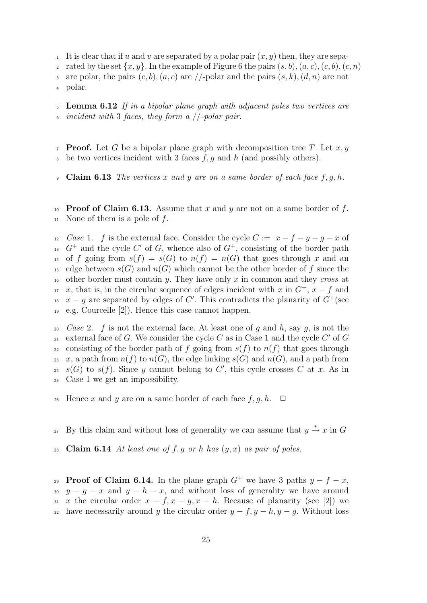<sup>1</sup> It is clear that if u and v are separated by a polar pair  $(x, y)$  then, they are sepa-

- 2 rated by the set  $\{x, y\}$ . In the example of Figure 6 the pairs  $(s, b), (a, c), (c, b), (c, n)$
- are polar, the pairs  $(c, b), (a, c)$  are //-polar and the pairs  $(s, k), (d, n)$  are not

<sup>4</sup> polar.

 $\frac{1}{5}$  Lemma 6.12 If in a bipolar plane graph with adjacent poles two vertices are  $\frac{1}{6}$  incident with 3 faces, they form a //-polar pair.

- 7 **Proof.** Let G be a bipolar plane graph with decomposition tree T. Let  $x, y$  $\bullet$  be two vertices incident with 3 faces f, g and h (and possibly others).
- **9 Claim 6.13** The vertices x and y are on a same border of each face  $f, g, h$ .

10 **Proof of Claim 6.13.** Assume that x and y are not on a same border of f.  $_{11}$  None of them is a pole of f.

12 Case 1. f is the external face. Consider the cycle  $C := x - f - y - g - x$  of <sup>13</sup>  $G^+$  and the cycle C' of G, whence also of  $G^+$ , consisting of the border path <sup>14</sup> of f going from  $s(f) = s(G)$  to  $n(f) = n(G)$  that goes through x and an <sup>15</sup> edge between  $s(G)$  and  $n(G)$  which cannot be the other border of f since the <sup>16</sup> other border must contain y. They have only x in common and they cross at  $x$ , that is, in the circular sequence of edges incident with x in  $G^+$ ,  $x - f$  and <sup>18</sup>  $x - g$  are separated by edges of C'. This contradicts the planarity of  $G^+$  (see <sup>19</sup> e.g. Courcelle [2]). Hence this case cannot happen.

20 Case 2. f is not the external face. At least one of g and h, say g, is not the 21 external face of G. We consider the cycle C as in Case 1 and the cycle  $C'$  of G 22 consisting of the border path of f going from  $s(f)$  to  $n(f)$  that goes through 23 x, a path from  $n(f)$  to  $n(G)$ , the edge linking  $s(G)$  and  $n(G)$ , and a path from <sup>24</sup>  $s(G)$  to  $s(f)$ . Since y cannot belong to C', this cycle crosses C at x. As in <sup>25</sup> Case 1 we get an impossibility.

- 26 Hence x and y are on a same border of each face  $f, g, h$ .  $\Box$
- 27 By this claim and without loss of generality we can assume that  $y \stackrel{*}{\rightarrow} x$  in G
- 28 Claim 6.14 At least one of f, g or h has  $(y, x)$  as pair of poles.

**Proof of Claim 6.14.** In the plane graph  $G^+$  we have 3 paths  $y - f - x$ , 30 y − g − x and y − h − x, and without loss of generality we have around 31 x the circular order  $x - f, x - g, x - h$ . Because of planarity (see [2]) we 32 have necessarily around y the circular order  $y - f$ ,  $y - h$ ,  $y - g$ . Without loss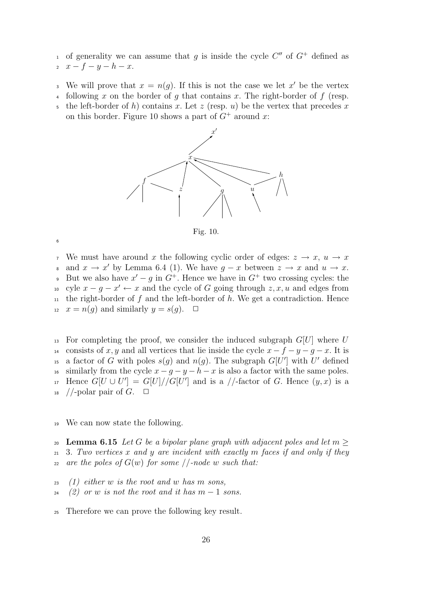<sup>1</sup> of generality we can assume that g is inside the cycle  $C''$  of  $G^+$  defined as

2  $x - f - y - h - x$ .

6

- We will prove that  $x = n(g)$ . If this is not the case we let x' be the vertex
- following x on the border of q that contains x. The right-border of f (resp.
- the left-border of h) contains x. Let z (resp. u) be the vertex that precedes x on this border. Figure 10 shows a part of  $G^+$  around x:



Fig. 10.

<sup>7</sup> We must have around x the following cyclic order of edges:  $z \rightarrow x$ ,  $u \rightarrow x$ a and  $x \to x'$  by Lemma 6.4 (1). We have  $g - x$  between  $z \to x$  and  $u \to x$ . 9 But we also have  $x' - g$  in  $G^+$ . Hence we have in  $G^+$  two crossing cycles: the <sup>10</sup> cyle  $x - g - x' \leftarrow x$  and the cycle of G going through  $z, x, u$  and edges from the right-border of f and the left-border of  $h$ . We get a contradiction. Hence 12  $x = n(q)$  and similarly  $y = s(q)$ .  $\Box$ 

<sup>13</sup> For completing the proof, we consider the induced subgraph  $G[U]$  where U 14 consists of x, y and all vertices that lie inside the cycle  $x - f - y - g - x$ . It is <sup>15</sup> a factor of G with poles  $s(g)$  and  $n(g)$ . The subgraph  $G[U']$  with U' defined 16 similarly from the cycle  $x - q - y - h - x$  is also a factor with the same poles.  $H_1$  Hence  $G[U \cup U'] = G[U]/G[U']$  and is a //-factor of G. Hence  $(y, x)$  is a  $18$  //-polar pair of G.  $\Box$ 

<sup>19</sup> We can now state the following.

20 Lemma 6.15 Let G be a bipolar plane graph with adjacent poles and let  $m \geq 1$  $21$  3. Two vertices x and y are incident with exactly m faces if and only if they 22 are the poles of  $G(w)$  for some //-node w such that:

- $23$  (1) either w is the root and w has m sons,
- $24$  (2) or w is not the root and it has  $m-1$  sons.
- <sup>25</sup> Therefore we can prove the following key result.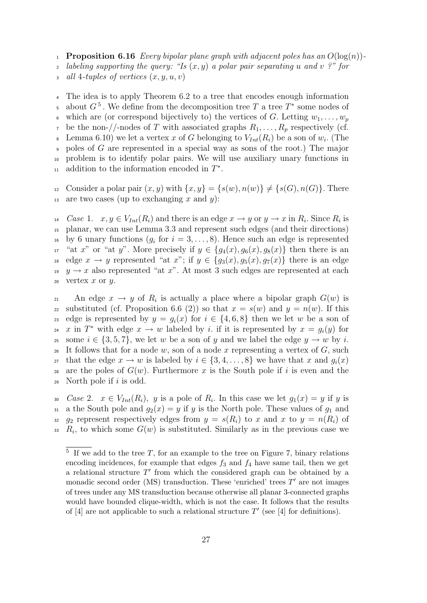1 **Proposition 6.16** Every bipolar plane graph with adjacent poles has an  $O(\log(n))$ -

2 labeling supporting the query: "Is  $(x, y)$  a polar pair separating u and v ?" for

 $all 4-tuples of vertices (x, y, u, v)$ 

<sup>4</sup> The idea is to apply Theorem 6.2 to a tree that encodes enough information <sup>5</sup> about  $G^5$ . We define from the decomposition tree T a tree T<sup>∗</sup> some nodes of which are (or correspond bijectively to) the vertices of G. Letting  $w_1, \ldots, w_n$ <sup>7</sup> be the non-//-nodes of T with associated graphs  $R_1, \ldots, R_p$  respectively (cf. Equal 6.10) we let a vertex x of G belonging to  $V_{Int}(R_i)$  be a son of  $w_i$ . (The poles of G are represented in a special way as sons of the root.) The major <sup>10</sup> problem is to identify polar pairs. We will use auxiliary unary functions in <sup>11</sup> addition to the information encoded in  $T^*$ .

12 Consider a polar pair  $(x, y)$  with  $\{x, y\} = \{s(w), n(w)\}\neq \{s(G), n(G)\}\$ . There 13 are two cases (up to exchanging x and y):

<sup>14</sup> Case 1.  $x, y \in V_{Int}(R_i)$  and there is an edge  $x \to y$  or  $y \to x$  in  $R_i$ . Since  $R_i$  is <sup>15</sup> planar, we can use Lemma 3.3 and represent such edges (and their directions) <sup>16</sup> by 6 unary functions  $(g_i \text{ for } i = 3, ..., 8)$ . Hence such an edge is represented <sup>17</sup> "at x" or "at y". More precisely if  $y \in \{g_4(x), g_6(x), g_8(x)\}\$  then there is an <sup>18</sup> edge  $x \to y$  represented "at  $x$ "; if  $y \in \{g_3(x), g_5(x), g_7(x)\}\$  there is an edge <sup>19</sup> y  $\rightarrow x$  also represented "at x". At most 3 such edges are represented at each 20 vertex  $x$  or  $y$ .

21 An edge  $x \to y$  of  $R_i$  is actually a place where a bipolar graph  $G(w)$  is 22 substituted (cf. Proposition 6.6 (2)) so that  $x = s(w)$  and  $y = n(w)$ . If this 23 edge is represented by  $y = g_i(x)$  for  $i \in \{4, 6, 8\}$  then we let w be a son of <sup>24</sup> x in  $T^*$  with edge  $x \to w$  labeled by i. if it is represented by  $x = g_i(y)$  for <sup>25</sup> some  $i \in \{3, 5, 7\}$ , we let w be a son of y and we label the edge  $y \to w$  by i. 26 It follows that for a node w, son of a node x representing a vertex of  $G$ , such 27 that the edge  $x \to w$  is labeled by  $i \in \{3, 4, \ldots, 8\}$  we have that x and  $q_i(x)$ 28 are the poles of  $G(w)$ . Furthermore x is the South pole if i is even and the 29 North pole if  $i$  is odd.

30 Case 2.  $x \in V_{Int}(R_i)$ , y is a pole of  $R_i$ . In this case we let  $g_1(x) = y$  if y is 31 a the South pole and  $g_2(x) = y$  if y is the North pole. These values of  $g_1$  and 32 g<sub>2</sub> represent respectively edges from  $y = s(R_i)$  to x and x to  $y = n(R_i)$  of 33  $R_i$ , to which some  $G(w)$  is substituted. Similarly as in the previous case we

 $5$  If we add to the tree T, for an example to the tree on Figure 7, binary relations encoding incidences, for example that edges  $f_3$  and  $f_4$  have same tail, then we get a relational structure  $T'$  from which the considered graph can be obtained by a monadic second order (MS) transduction. These 'enriched' trees  $T'$  are not images of trees under any MS transduction because otherwise all planar 3-connected graphs would have bounded clique-width, which is not the case. It follows that the results of [4] are not applicable to such a relational structure  $T'$  (see [4] for definitions).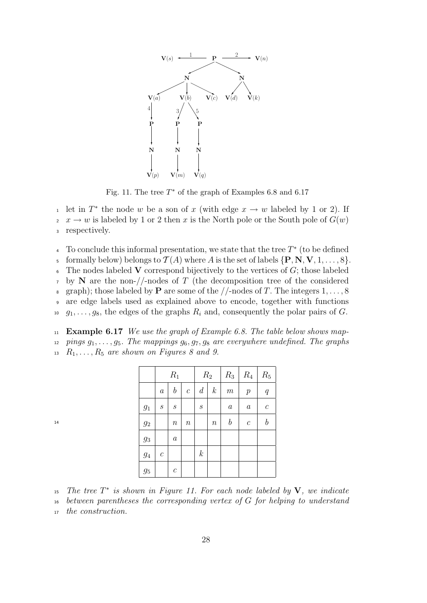

Fig. 11. The tree  $T^*$  of the graph of Examples 6.8 and 6.17

<sup>1</sup> let in  $T^*$  the node w be a son of x (with edge  $x \to w$  labeled by 1 or 2). If  $x \to w$  is labeled by 1 or 2 then x is the North pole or the South pole of  $G(w)$ <sup>3</sup> respectively.

 $\frac{4}{4}$  To conclude this informal presentation, we state that the tree  $T^*$  (to be defined 5 formally below) belongs to  $\mathcal{T}(A)$  where A is the set of labels  $\{P, N, V, 1, \ldots, 8\}$ .  $6$  The nodes labeled V correspond bijectively to the vertices of G; those labeled  $7 \text{ by } N$  are the non-//-nodes of T (the decomposition tree of the considered 8 graph); those labeled by **P** are some of the  $//$ -nodes of T. The integers  $1, \ldots, 8$ <sup>9</sup> are edge labels used as explained above to encode, together with functions  $10 \quad g_1, \ldots, g_8$ , the edges of the graphs  $R_i$  and, consequently the polar pairs of G.

11 **Example 6.17** We use the graph of Example 6.8. The table below shows map-12 pings  $g_1, \ldots, g_5$ . The mappings  $g_6, g_7, g_8$  are everywhere undefined. The graphs  $R_1, \ldots, R_5$  are shown on Figures 8 and 9.

|                  | $R_1$                 |                   |               | $R_2$            |                  | $R_3$            | $R_4$                   | $\mathcal{R}_5$  |
|------------------|-----------------------|-------------------|---------------|------------------|------------------|------------------|-------------------------|------------------|
|                  | $\boldsymbol{a}$      | $\it b$           | $\mathcal{C}$ | $\boldsymbol{d}$ | $\boldsymbol{k}$ | $\,m$            | $\boldsymbol{p}$        | q                |
| $g_1$            | $\mathcal{S}_{0}$     | $\mathcal{S}_{0}$ |               | $\boldsymbol{S}$ |                  | $\boldsymbol{a}$ | $\boldsymbol{a}$        | $\boldsymbol{c}$ |
| $\mathfrak{g}_2$ |                       | $\it n$           | $\it n$       |                  | $\it{n}$         | $\boldsymbol{b}$ | $\mathcal{C}_{0}^{(n)}$ | $\it b$          |
| $g_3$            |                       | $\boldsymbol{a}$  |               |                  |                  |                  |                         |                  |
| $g_4$            | $\mathcal{C}_{0}^{0}$ |                   |               | $\boldsymbol{k}$ |                  |                  |                         |                  |
| $g_5$            |                       | $\boldsymbol{c}$  |               |                  |                  |                  |                         |                  |

<sup>15</sup> The tree  $T^*$  is shown in Figure 11. For each node labeled by  $V$ , we indicate

<sup>16</sup> between parentheses the corresponding vertex of G for helping to understand

<sup>17</sup> the construction.

14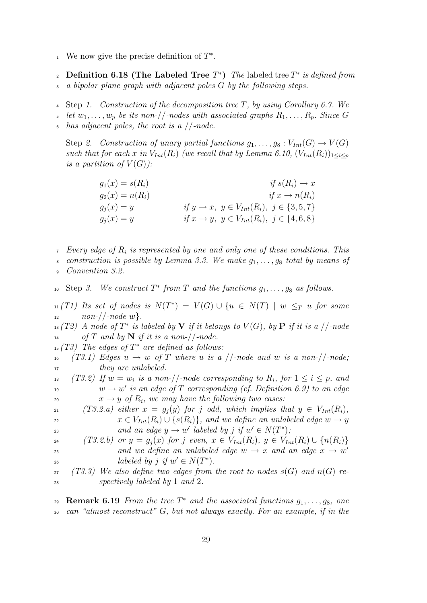- <sup>1</sup> We now give the precise definition of  $T^*$ .
- 2 Definition 6.18 (The Labeled Tree  $T^*$ ) The labeled tree  $T^*$  is defined from  $\alpha$  bipolar plane graph with adjacent poles G by the following steps.
- <sup>4</sup> Step 1. Construction of the decomposition tree T, by using Corollary 6.7. We
- let  $w_1, \ldots, w_n$  be its non-//-nodes with associated graphs  $R_1, \ldots, R_n$ . Since G
- has adjacent poles, the root is a  $//$ -node.

Step 2. Construction of unary partial functions  $g_1, \ldots, g_8 : V_{Int}(G) \to V(G)$ such that for each x in  $V_{Int}(R_i)$  (we recall that by Lemma 6.10,  $(V_{Int}(R_i))_{1\leq i\leq n}$ is a partition of  $V(G)$ :

$$
g_1(x) = s(R_i)
$$
  
\n
$$
g_2(x) = n(R_i)
$$
  
\n
$$
g_j(x) = y
$$
  
\n
$$
g_j(x) = y
$$
  
\n
$$
if y \rightarrow x, y \in V_{Int}(R_i), j \in \{3, 5, 7\}
$$
  
\n
$$
if x \rightarrow y, y \in V_{Int}(R_i), j \in \{4, 6, 8\}
$$

- Every edge of  $R_i$  is represented by one and only one of these conditions. This
- construction is possible by Lemma 3.3. We make  $g_1, \ldots, g_8$  total by means of
- Convention 3.2.

10 Step 3. We construct  $T^*$  from  $T$  and the functions  $g_1, \ldots, g_8$  as follows.

 $\mathcal{L}_{\text{11}}(T1)$  Its set of nodes is  $N(T^*) = V(G) \cup \{u \in N(T) \mid w \leq_T u \text{ for some } u \in V(G)\}$  $12 \qquad \qquad non-//\text{-}node \ w\}.$ 

 $\mathcal{L}_{\text{13}}(T2)$  A node of  $T^*$  is labeled by **V** if it belongs to  $V(G)$ , by **P** if it is a //-node  $14$  of T and by N if it is a non-//-node.

 $_{15}(T3)$  The edges of  $T^*$  are defined as follows:

- 16 (T3.1) Edges  $u \to w$  of T where u is a //-node and w is a non-//-node; <sup>17</sup> they are unlabeled.
- 18 (T3.2) If  $w = w_i$  is a non-//-node corresponding to  $R_i$ , for  $1 \leq i \leq p$ , and  $w \rightarrow w'$  is an edge of T corresponding (cf. Definition 6.9) to an edge 20  $x \to y$  of  $R_i$ , we may have the following two cases:
- 21 (T3.2.a) either  $x = g_i(y)$  for j odd, which implies that  $y \in V_{Int}(R_i)$ , 22  $x \in V_{Int}(R_i) \cup \{s(R_i)\}\$ , and we define an unlabeled edge  $w \to y$ and an edge  $y \to w'$  labeled by j if  $w' \in N(T^*)$ ;
- 24 (T3.2.b) or  $y = g_i(x)$  for j even,  $x \in V_{Int}(R_i)$ ,  $y \in V_{Int}(R_i) \cup \{n(R_i)\}\$ and we define an unlabeled edge  $w \rightarrow x$  and an edge  $x \rightarrow w'$ 25 <sup>26</sup> labeled by j if  $w' \in N(T^*)$ .
- $27$  (T3.3) We also define two edges from the root to nodes  $s(G)$  and  $n(G)$  re-<sup>28</sup> spectively labeled by 1 and 2.

29 **Remark 6.19** From the tree  $T^*$  and the associated functions  $g_1, \ldots, g_8$ , one <sup>30</sup> can "almost reconstruct" G, but not always exactly. For an example, if in the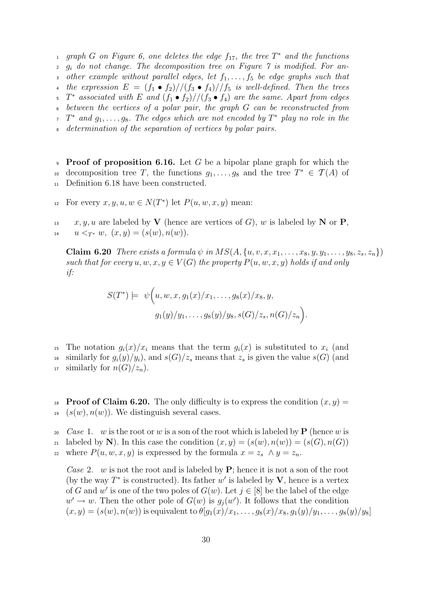<sup>1</sup> graph G on Figure 6, one deletes the edge  $f_{17}$ , the tree  $T^*$  and the functions  $2 \text{ } g_i$  do not change. The decomposition tree on Figure 7 is modified. For another example without parallel edges, let  $f_1, \ldots, f_5$  be edge graphs such that 4 the expression  $E = (f_1 \bullet f_2) // (f_3 \bullet f_4) // f_5$  is well-defined. Then the trees  $\sigma$   $T^*$  associated with E and  $(f_1 \bullet f_2) // (f_3 \bullet f_4)$  are the same. Apart from edges <sup>6</sup> between the vertices of a polar pair, the graph G can be reconstructed from  $\tau$   $T^*$  and  $g_1, \ldots, g_8$ . The edges which are not encoded by  $T^*$  play no role in the determination of the separation of vertices by polar pairs.

**Proof of proposition 6.16.** Let G be a bipolar plane graph for which the <sup>10</sup> decomposition tree T, the functions  $g_1, \ldots, g_8$  and the tree  $T^* \in \mathcal{T}(A)$  of <sup>11</sup> Definition 6.18 have been constructed.

For every  $x, y, u, w \in N(T^*)$  let  $P(u, w, x, y)$  mean:

 $x, y, u$  are labeled by **V** (hence are vertices of G), w is labeled by **N** or **P**, 14  $u \leq_{T^*} w, (x, y) = (s(w), n(w)).$ 

Claim 6.20 There exists a formula  $\psi$  in  $MS(A, \{u, v, x, x_1, \ldots, x_8, y, y_1, \ldots, y_8, z_8, z_n\})$ such that for every  $u, w, x, y \in V(G)$  the property  $P(u, w, x, y)$  holds if and only if:

.

$$
S(T^*) = \psi\Big(u, w, x, g_1(x)/x_1, \dots, g_8(x)/x_8, y, g_1(y)/y_1, \dots, g_8(y)/y_8, s(G)/z_s, n(G)/z_n\Big)
$$

<sup>15</sup> The notation  $g_i(x)/x_i$  means that the term  $g_i(x)$  is substituted to  $x_i$  (and <sup>16</sup> similarly for  $g_i(y)/y_i$ , and  $s(G)/z_s$  means that  $z_s$  is given the value  $s(G)$  (and <sup>17</sup> similarly for  $n(G)/z_n$ ).

<sup>18</sup> Proof of Claim 6.20. The only difficulty is to express the condition  $(x, y) =$  $19 \left( s(w), n(w) \right)$ . We distinguish several cases.

<sup>20</sup> Case 1. w is the root or w is a son of the root which is labeled by **P** (hence w is 21 labeled by N). In this case the condition  $(x, y) = (s(w), n(w)) = (s(G), n(G))$ 22 where  $P(u, w, x, y)$  is expressed by the formula  $x = z_s \wedge y = z_n$ .

Case 2. w is not the root and is labeled by  $P$ ; hence it is not a son of the root (by the way  $T^*$  is constructed). Its father w' is labeled by V, hence is a vertex of G and w' is one of the two poles of  $G(w)$ . Let  $j \in [8]$  be the label of the edge  $w' \to w$ . Then the other pole of  $G(w)$  is  $g_j(w')$ . It follows that the condition  $(x, y) = (s(w), n(w))$  is equivalent to  $\theta[g_1(x)/x_1, \ldots, g_8(x)/x_8, g_1(y)/y_1, \ldots, g_8(y)/y_8]$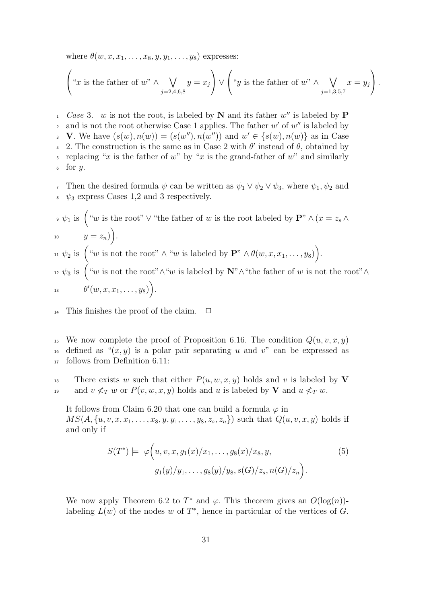where  $\theta(w, x, x_1, \ldots, x_8, y, y_1, \ldots, y_8)$  expresses:

$$
\left(\text{``}x \text{ is the father of } w\text{''} \wedge \bigvee_{j=2,4,6,8} y = x_j\right) \vee \left(\text{``}y \text{ is the father of } w\text{''} \wedge \bigvee_{j=1,3,5,7} x = y_j\right).
$$

 $Case 3$ . w is not the root, is labeled by N and its father w'' is labeled by P and is not the root otherwise Case 1 applies. The father  $w'$  of  $w''$  is labeled by 3 V. We have  $(s(w), n(w)) = (s(w''), n(w''))$  and  $w' \in \{s(w), n(w)\}\$ as in Case 4 2. The construction is the same as in Case 2 with  $\theta'$  instead of  $\theta$ , obtained by 5 replacing "x is the father of w" by "x is the grand-father of w" and similarly  $6$  for  $y$ .

7 Then the desired formula  $\psi$  can be written as  $\psi_1 \vee \psi_2 \vee \psi_3$ , where  $\psi_1, \psi_2$  and  $\psi_3$  express Cases 1,2 and 3 respectively.

\n- \n
$$
\psi_1
$$
 is  $\left( \begin{array}{c} u_w & \text{if } w \text{ is the root} \end{array} \right)$  with the  $v$  is the root labeled by  $\mathbf{P}^n \wedge (x = z_s \wedge y = z_n)$ .\n
\n- \n $y = z_n$ .\n
\n- \n $y = z_n$ .\n
\n- \n $y = z_n$ .\n
\n- \n $y = z_n$ .\n
\n- \n $y = z_n$ .\n
\n- \n $y = z_n$ .\n
\n- \n $y = z_n$ .\n
\n- \n $y = z_n$ .\n
\n- \n $y = z_n$ .\n
\n- \n $y = z_n$ .\n
\n- \n $y = z_n$ .\n
\n- \n $y = z_n$ .\n
\n- \n $y = z_n$ .\n
\n- \n $y = z_n$ .\n
\n- \n $y = z_n$ .\n
\n- \n $y = z_n$ .\n
\n- \n $y = z_n$ .\n
\n- \n $y = z_n$ .\n
\n- \n $y = z_n$ .\n
\n- \n $y = z_n$ .\n
\n- \n $y = z_n$ .\n
\n- \n $y = z_n$ .\n
\n- \n $y = z_n$ .\n
\n- \n $y = z_n$ .\n
\n- \n $y = z_n$ .\n
\n- \n $y = z_n$ .\n
\n- \n $y = z_n$ .\n
\n- \n $y = z_n$ .\n
\n- \n<

<sup>14</sup> This finishes the proof of the claim.  $\Box$ 

<sup>15</sup> We now complete the proof of Proposition 6.16. The condition  $Q(u, v, x, y)$ <sup>16</sup> defined as " $(x, y)$  is a polar pair separating u and v" can be expressed as <sup>17</sup> follows from Definition 6.11:

<sup>18</sup> There exists w such that either  $P(u, w, x, y)$  holds and v is labeled by V 19 and  $v \nless_T w$  or  $P(v, w, x, y)$  holds and u is labeled by **V** and  $u \nless_T w$ .

It follows from Claim 6.20 that one can build a formula  $\varphi$  in  $MS(A, \{u, v, x, x_1, \ldots, x_8, y, y_1, \ldots, y_8, z_s, z_n\})$  such that  $Q(u, v, x, y)$  holds if and only if

$$
S(T^*) \models \varphi(u, v, x, g_1(x)/x_1, \dots, g_8(x)/x_8, y, \qquad (5)
$$

$$
g_1(y)/y_1, \dots, g_8(y)/y_8, s(G)/z_s, n(G)/z_n.
$$

We now apply Theorem 6.2 to  $T^*$  and  $\varphi$ . This theorem gives an  $O(\log(n))$ labeling  $L(w)$  of the nodes w of  $T^*$ , hence in particular of the vertices of G.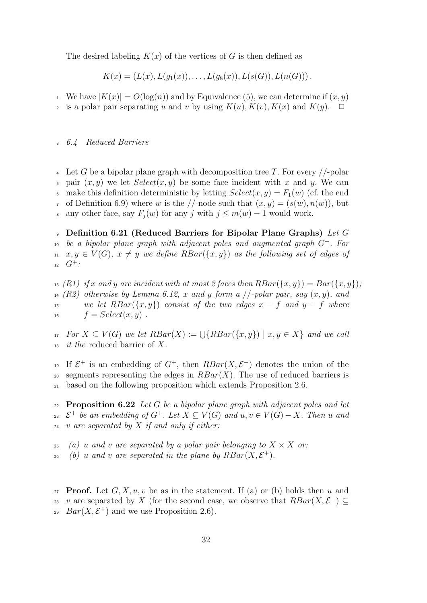The desired labeling  $K(x)$  of the vertices of G is then defined as

$$
K(x) = (L(x), L(g_1(x)), \ldots, L(g_8(x)), L(s(G)), L(n(G))).
$$

<sup>1</sup> We have  $|K(x)| = O(\log(n))$  and by Equivalence (5), we can determine if  $(x, y)$ 

2 is a polar pair separating u and v by using  $K(u)$ ,  $K(v)$ ,  $K(x)$  and  $K(y)$ .  $\Box$ 

#### <sup>3</sup> 6.4 Reduced Barriers

4 Let G be a bipolar plane graph with decomposition tree T. For every  $//$ -polar pair  $(x, y)$  we let  $Select(x, y)$  be some face incident with x and y. We can make this definition deterministic by letting  $Select(x, y) = F_1(w)$  (cf. the end  $\tau$  of Definition 6.9) where w is the //-node such that  $(x, y) = (s(w), n(w))$ , but 8 any other face, say  $F_i(w)$  for any j with  $j \leq m(w) - 1$  would work.

9 Definition 6.21 (Reduced Barriers for Bipolar Plane Graphs) Let G  $b$  be a bipolar plane graph with adjacent poles and augmented graph  $G^+$ . For 11  $x, y \in V(G)$ ,  $x \neq y$  we define  $RBar(\lbrace x, y \rbrace)$  as the following set of edges of  $G^+$ :

<sup>13</sup> (R1) if x and y are incident with at most 2 faces then  $RBar(\lbrace x,y \rbrace) = Bar(\lbrace x,y \rbrace);$ (R2) otherwise by Lemma 6.12, x and y form a //-polar pair, say  $(x, y)$ , and 15 we let  $RBar({x, y})$  consist of the two edges  $x - f$  and  $y - f$  where  $f = Select(x, y)$ .

 $F_1$  For  $X \subseteq V(G)$  we let  $RBar(X) := \bigcup \{RBar(\{x,y\}) \mid x,y \in X\}$  and we call  $18$  *it the* reduced barrier of X.

<sup>19</sup> If  $\mathcal{E}^+$  is an embedding of  $G^+$ , then  $RBar(X, \mathcal{E}^+)$  denotes the union of the segments representing the edges in  $RBar(X)$ . The use of reduced barriers is <sup>21</sup> based on the following proposition which extends Proposition 2.6.

22 **Proposition 6.22** Let G be a bipolar plane graph with adjacent poles and let <sup>23</sup>  $\mathcal{E}^+$  be an embedding of  $G^+$ . Let  $X \subseteq V(G)$  and  $u, v \in V(G) - X$ . Then u and  $24$  v are separated by X if and only if either:

 $25$  (a) u and v are separated by a polar pair belonging to  $X \times X$  or:

 $_{26}$  (b) u and v are separated in the plane by  $RBar(X, \mathcal{E}^+).$ 

27 **Proof.** Let  $G, X, u, v$  be as in the statement. If (a) or (b) holds then u and <sup>28</sup> v are separated by X (for the second case, we observe that  $RBar(X, \mathcal{E}^+) \subseteq$ <sup>29</sup> *Bar*(*X*,  $\mathcal{E}^+$ ) and we use Proposition 2.6).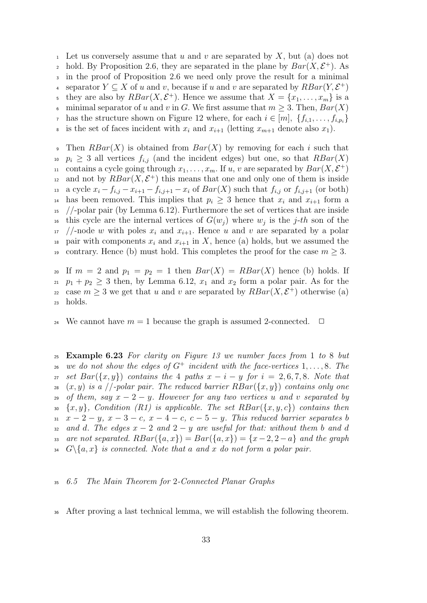<sup>1</sup> Let us conversely assume that u and v are separated by X, but (a) does not <sup>2</sup> hold. By Proposition 2.6, they are separated in the plane by  $Bar(X, \mathcal{E}^+)$ . As <sup>3</sup> in the proof of Proposition 2.6 we need only prove the result for a minimal separator  $Y \subseteq X$  of u and v, because if u and v are separated by  $RBar(Y, \mathcal{E}^+)$ they are also by  $RBar(X, \mathcal{E}^+)$ . Hence we assume that  $X = \{x_1, \ldots, x_m\}$  is a 6 minimal separator of u and v in G. We first assume that  $m \geq 3$ . Then,  $Bar(X)$ <sup>7</sup> has the structure shown on Figure 12 where, for each  $i \in [m]$ ,  $\{f_{i,1}, \ldots, f_{i,p_i}\}$ <sup>8</sup> is the set of faces incident with  $x_i$  and  $x_{i+1}$  (letting  $x_{m+1}$  denote also  $x_1$ ).

 $\Phi$  Then  $RBar(X)$  is obtained from  $Bar(X)$  by removing for each i such that  $p_i \geq 3$  all vertices  $f_{i,j}$  (and the incident edges) but one, so that  $RBar(X)$ <sup>11</sup> contains a cycle going through  $x_1, \ldots, x_m$ . If u, v are separated by  $Bar(X, \mathcal{E}^+)$ and not by  $RBar(X, \mathcal{E}^+)$  this means that one and only one of them is inside 13 a cycle  $x_i - f_{i,j} - x_{i+1} - f_{i,j+1} - x_i$  of  $Bar(X)$  such that  $f_{i,j}$  or  $f_{i,j+1}$  (or both) <sup>14</sup> has been removed. This implies that  $p_i \geq 3$  hence that  $x_i$  and  $x_{i+1}$  form a  $15$  //-polar pair (by Lemma 6.12). Furthermore the set of vertices that are inside <sup>16</sup> this cycle are the internal vertices of  $G(w_j)$  where  $w_j$  is the j-th son of the  $17$  //-node w with poles  $x_i$  and  $x_{i+1}$ . Hence u and v are separated by a polar <sup>18</sup> pair with components  $x_i$  and  $x_{i+1}$  in X, hence (a) holds, but we assumed the 19 contrary. Hence (b) must hold. This completes the proof for the case  $m \geq 3$ .

20 If  $m = 2$  and  $p_1 = p_2 = 1$  then  $Bar(X) = RBar(X)$  hence (b) holds. If 21  $p_1 + p_2 \geq 3$  then, by Lemma 6.12,  $x_1$  and  $x_2$  form a polar pair. As for the example 22 case  $m \geq 3$  we get that u and v are separated by  $RBar(X, \mathcal{E}^+)$  otherwise (a) <sup>23</sup> holds.

<sup>24</sup> We cannot have  $m = 1$  because the graph is assumed 2-connected.  $\Box$ 

<sup>25</sup> Example 6.23 For clarity on Figure 13 we number faces from 1 to 8 but 26 we do not show the edges of  $G^+$  incident with the face-vertices 1, ..., 8. The 27 set  $Bar({x, y})$  contains the 4 paths  $x - i - y$  for  $i = 2, 6, 7, 8$ . Note that 28  $(x, y)$  is a //-polar pair. The reduced barrier  $RBar(\lbrace x, y \rbrace)$  contains only one 29 of them, say  $x - 2 - y$ . However for any two vertices u and v separated by 30  $\{x, y\}$ , Condition (R1) is applicable. The set  $RBar(\{x, y, c\})$  contains then 31  $x-2-y$ ,  $x-3-c$ ,  $x-4-c$ ,  $c-5-y$ . This reduced barrier separates b 32 and d. The edges  $x - 2$  and  $2 - y$  are useful for that: without them b and d 33 are not separated.  $RBar(\lbrace a, x \rbrace) = Bar(\lbrace a, x \rbrace) = \lbrace x-2, 2-a \rbrace$  and the graph  $G\backslash\{a,x\}$  is connected. Note that a and x do not form a polar pair.

#### <sup>35</sup> 6.5 The Main Theorem for 2-Connected Planar Graphs

<sup>36</sup> After proving a last technical lemma, we will establish the following theorem.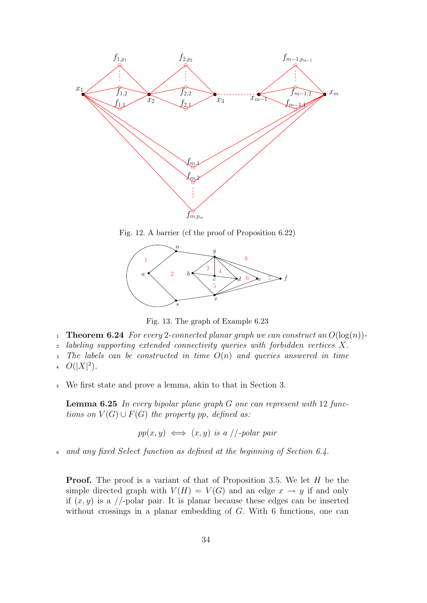

Fig. 12. A barrier (cf the proof of Proposition 6.22)



Fig. 13. The graph of Example 6.23

- 1 **Theorem 6.24** For every 2-connected planar graph we can construct an  $O(\log(n))$ -
- <sup>2</sup> labeling supporting extended connectivity queries with forbidden vertices X.
- $3$  The labels can be constructed in time  $O(n)$  and queries answered in time
- 4  $O(|X|^2)$ .
- <sup>5</sup> We first state and prove a lemma, akin to that in Section 3.

**Lemma 6.25** In every bipolar plane graph  $G$  one can represent with 12 functions on  $V(G) \cup F(G)$  the property pp, defined as:

$$
pp(x, y) \iff (x, y) \text{ is a } //\text{-polar pair}
$$

<sup>6</sup> and any fixed Select function as defined at the beginning of Section 6.4.

**Proof.** The proof is a variant of that of Proposition 3.5. We let H be the simple directed graph with  $V(H) = V(G)$  and an edge  $x \to y$  if and only if  $(x, y)$  is a //-polar pair. It is planar because these edges can be inserted without crossings in a planar embedding of G. With 6 functions, one can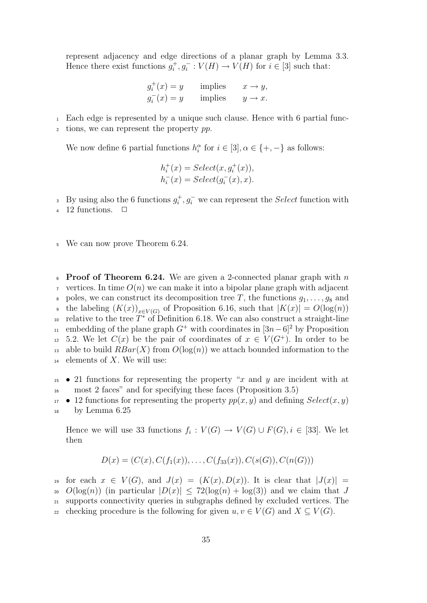represent adjacency and edge directions of a planar graph by Lemma 3.3. Hence there exist functions  $g_i^+, g_i^- : V(H) \to V(H)$  for  $i \in [3]$  such that:

> $g_i^+(x) = y$  implies  $x \to y$ ,  $g_i^-(x) = y$  implies  $y \to x$ .

<sup>1</sup> Each edge is represented by a unique such clause. Hence with 6 partial func-

 $\alpha$  tions, we can represent the property pp.

We now define 6 partial functions  $h_i^{\alpha}$  for  $i \in [3], \alpha \in \{+, -\}$  as follows:

$$
h_i^+(x) = Select(x, g_i^+(x)),
$$
  

$$
h_i^-(x) = Select(g_i^-(x), x).
$$

<sup>3</sup> By using also the 6 functions  $g_i^+, g_i^-$  we can represent the *Select* function with

12 functions.  $\Box$ 

<sup>5</sup> We can now prove Theorem 6.24.

 $\epsilon$  Proof of Theorem 6.24. We are given a 2-connected planar graph with n vertices. In time  $O(n)$  we can make it into a bipolar plane graph with adjacent poles, we can construct its decomposition tree T, the functions  $g_1, \ldots, g_8$  and • the labeling  $(K(x))_{x\in V(G)}$  of Proposition 6.16, such that  $|K(x)| = O(\log(n))$ <sup>10</sup> relative to the tree  $T^*$  of Definition 6.18. We can also construct a straight-line <sup>11</sup> embedding of the plane graph  $G^+$  with coordinates in  $[3n-6]^2$  by Proposition <sup>12</sup> 5.2. We let  $C(x)$  be the pair of coordinates of  $x \in V(G^+)$ . In order to be <sup>13</sup> able to build  $RBar(X)$  from  $O(log(n))$  we attach bounded information to the  $_{14}$  elements of X. We will use:

 $15 \rightarrow 21$  functions for representing the property "x and y are incident with at <sup>16</sup> most 2 faces" and for specifying these faces (Proposition 3.5)

 $17 \bullet 12$  functions for representing the property  $pp(x, y)$  and defining  $Select(x, y)$ <sup>18</sup> by Lemma 6.25

Hence we will use 33 functions  $f_i: V(G) \to V(G) \cup F(G), i \in [33]$ . We let then

$$
D(x) = (C(x), C(f_1(x)), \ldots, C(f_{33}(x)), C(s(G)), C(n(G)))
$$

19 for each  $x \in V(G)$ , and  $J(x) = (K(x), D(x))$ . It is clear that  $|J(x)| =$ 20  $O(\log(n))$  (in particular  $|D(x)| \leq 72(\log(n) + \log(3))$  and we claim that J <sup>21</sup> supports connectivity queries in subgraphs defined by excluded vertices. The 22 checking procedure is the following for given  $u, v \in V(G)$  and  $X \subseteq V(G)$ .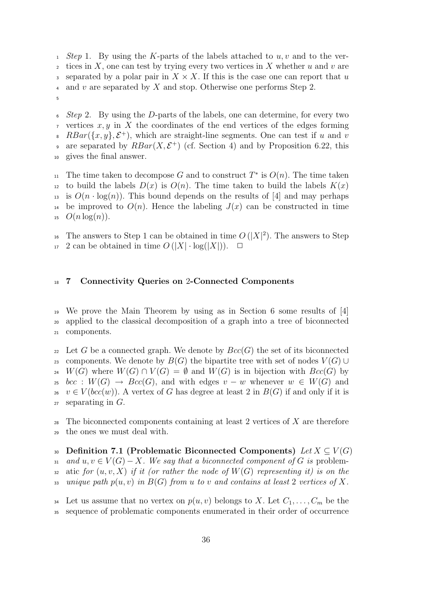$_1$  Step 1. By using the K-parts of the labels attached to u, v and to the ver- $\alpha$  tices in X, one can test by trying every two vertices in X whether u and v are separated by a polar pair in  $X \times X$ . If this is the case one can report that u 4 and v are separated by X and stop. Otherwise one performs Step 2. 5

 $6$  Step 2. By using the D-parts of the labels, one can determine, for every two  $\tau$  vertices  $x, y$  in X the coordinates of the end vertices of the edges forming <sup>8</sup> RBar( $\{x, y\}$ ,  $\mathcal{E}^+$ ), which are straight-line segments. One can test if u and v are separated by  $RBar(X, \mathcal{E}^+)$  (cf. Section 4) and by Proposition 6.22, this <sup>10</sup> gives the final answer.

<sup>11</sup> The time taken to decompose G and to construct  $T^*$  is  $O(n)$ . The time taken to build the labels  $D(x)$  is  $O(n)$ . The time taken to build the labels  $K(x)$ <sup>13</sup> is  $O(n \cdot \log(n))$ . This bound depends on the results of [4] and may perhaps <sup>14</sup> be improved to  $O(n)$ . Hence the labeling  $J(x)$  can be constructed in time 15  $O(n \log(n))$ .

16 The answers to Step 1 can be obtained in time  $O(|X|^2)$ . The answers to Step  $17 \cdot 2$  can be obtained in time  $O(|X| \cdot \log(|X|))$ .  $\Box$ 

#### <sup>18</sup> 7 Connectivity Queries on 2-Connected Components

<sup>19</sup> We prove the Main Theorem by using as in Section 6 some results of [4] <sup>20</sup> applied to the classical decomposition of a graph into a tree of biconnected <sup>21</sup> components.

22 Let G be a connected graph. We denote by  $Bcc(G)$  the set of its biconnected 23 components. We denote by  $B(G)$  the bipartite tree with set of nodes  $V(G) \cup$ 24  $W(G)$  where  $W(G) \cap V(G) = \emptyset$  and  $W(G)$  is in bijection with  $Bcc(G)$  by 25 bcc :  $W(G) \rightarrow Bcc(G)$ , and with edges  $v - w$  whenever  $w \in W(G)$  and  $v \in V(bcc(w))$ . A vertex of G has degree at least 2 in  $B(G)$  if and only if it is  $27$  separating in  $G$ .

<sup>28</sup> The biconnected components containing at least 2 vertices of X are therefore <sup>29</sup> the ones we must deal with.

30 Definition 7.1 (Problematic Biconnected Components) Let  $X \subseteq V(G)$ 31 and  $u, v \in V(G) - X$ . We say that a biconnected component of G is problem-32 atic for  $(u, v, X)$  if it (or rather the node of  $W(G)$  representing it) is on the 33 unique path  $p(u, v)$  in  $B(G)$  from u to v and contains at least 2 vertices of X.

<sup>34</sup> Let us assume that no vertex on  $p(u, v)$  belongs to X. Let  $C_1, \ldots, C_m$  be the <sup>35</sup> sequence of problematic components enumerated in their order of occurrence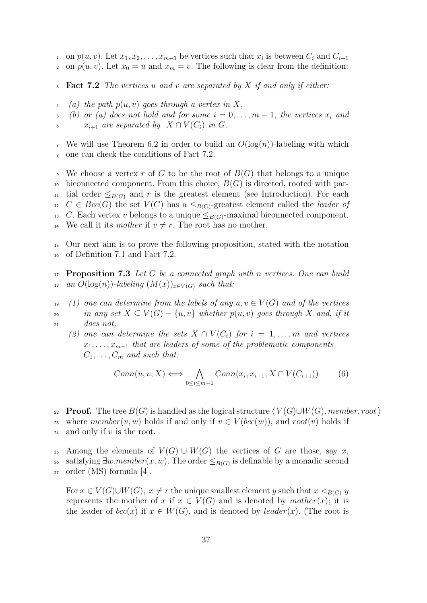<sup>1</sup> on  $p(u, v)$ . Let  $x_1, x_2, \ldots, x_{m-1}$  be vertices such that  $x_i$  is between  $C_i$  and  $C_{i+1}$ 

2 on  $p(u, v)$ . Let  $x_0 = u$  and  $x_m = v$ . The following is clear from the definition:

**Fact 7.2** The vertices u and v are separated by X if and only if either:

4 (a) the path  $p(u, v)$  goes through a vertex in X,

5 (b) or (a) does not hold and for some  $i = 0, \ldots, m - 1$ , the vertices  $x_i$  and 6  $x_{i+1}$  are separated by  $X \cap V(C_i)$  in G.

<sup>7</sup> We will use Theorem 6.2 in order to build an  $O(\log(n))$ -labeling with which <sup>8</sup> one can check the conditions of Fact 7.2.

We choose a vertex r of G to be the root of  $B(G)$  that belongs to a unique 10 biconnected component. From this choice,  $B(G)$  is directed, rooted with par-<sup>11</sup> tial order  $\leq_{B(G)}$  and r is the greatest element (see Introduction). For each 12  $C \in Bcc(G)$  the set  $V(C)$  has a  $\leq_{B(G)}$ -greatest element called the *leader of* 13 C. Each vertex v belongs to a unique  $\leq_{B(G)}$ -maximal biconnected component. <sup>14</sup> We call it its mother if  $v \neq r$ . The root has no mother.

<sup>15</sup> Our next aim is to prove the following proposition, stated with the notation <sup>16</sup> of Definition 7.1 and Fact 7.2.

 $17$  **Proposition 7.3** Let G be a connected graph with n vertices. One can build 18 an  $O(\log(n))$ -labeling  $(M(x))_{x\in V(G)}$  such that:

19 (1) one can determine from the labels of any  $u, v \in V(G)$  and of the vertices 20 in any set  $X \subseteq V(G) - \{u, v\}$  whether  $p(u, v)$  goes through X and, if it <sup>21</sup> does not,

(2) one can determine the sets  $X \cap V(C_i)$  for  $i = 1, \ldots, m$  and vertices  $x_1, \ldots, x_{m-1}$  that are leaders of some of the problematic components  $C_1, \ldots, C_m$  and such that:

$$
Conn(u, v, X) \iff \bigwedge_{0 \le i \le m-1}Conn(x_i, x_{i+1}, X \cap V(C_{i+1})) \tag{6}
$$

22 **Proof.** The tree  $B(G)$  is handled as the logical structure  $\langle V(G) \cup W(G),$  member, root 23 where  $member(v, w)$  holds if and only if  $v \in V(bcc(w))$ , and  $root(v)$  holds if  $24$  and only if v is the root.

25 Among the elements of  $V(G) \cup W(G)$  the vertices of G are those, say x, 26 satisfying  $\exists w.member(x, w)$ . The order  $\leq_{B(G)}$  is definable by a monadic second <sup>27</sup> order (MS) formula [4].

For  $x \in V(G) \cup W(G)$ ,  $x \neq r$  the unique smallest element y such that  $x \leq_{B(G)} y$ represents the mother of x if  $x \in V(G)$  and is denoted by  $mother(x)$ ; it is the leader of  $bcc(x)$  if  $x \in W(G)$ , and is denoted by *leader(x)*. (The root is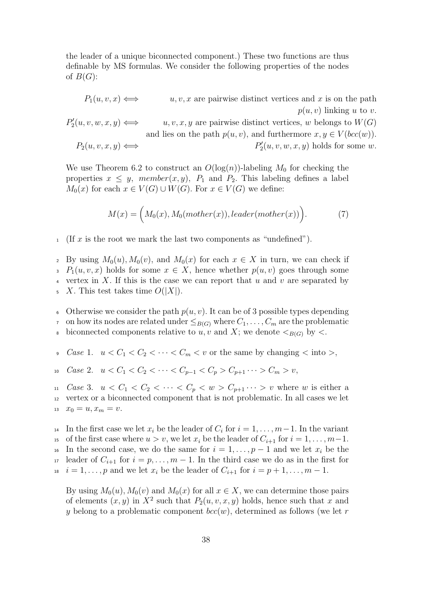the leader of a unique biconnected component.) These two functions are thus definable by MS formulas. We consider the following properties of the nodes of  $B(G)$ :

 $P_1(u, v, x) \iff u, v, x$  are pairwise distinct vertices and x is on the path  $p(u, v)$  linking u to v.  $P'_2$  $u, v, x, y$  are pairwise distinct vertices, w belongs to  $W(G)$ and lies on the path  $p(u, v)$ , and furthermore  $x, y \in V(bcc(w))$ .  $P_2(u, v, x, u) \Longleftrightarrow$  $y_2'(u, v, w, x, y)$  holds for some w.

We use Theorem 6.2 to construct an  $O(\log(n))$ -labeling  $M_0$  for checking the properties  $x \leq y$ , member $(x, y)$ ,  $P_1$  and  $P_2$ . This labeling defines a label  $M_0(x)$  for each  $x \in V(G) \cup W(G)$ . For  $x \in V(G)$  we define:

$$
M(x) = \Big(M_0(x), M_0(mother(x)), leader(mother(x))\Big). \tag{7}
$$

 $1$  (If x is the root we mark the last two components as "undefined").

By using  $M_0(u)$ ,  $M_0(v)$ , and  $M_0(x)$  for each  $x \in X$  in turn, we can check if  $P_1(u, v, x)$  holds for some  $x \in X$ , hence whether  $p(u, v)$  goes through some 4 vertex in X. If this is the case we can report that u and v are separated by  $5\quad X$ . This test takes time  $O(|X|)$ .

6 Otherwise we consider the path  $p(u, v)$ . It can be of 3 possible types depending  $\tau$  on how its nodes are related under  $\leq_{B(G)}$  where  $C_1, \ldots, C_m$  are the problematic

biconnected components relative to u, v and X; we denote  $\lt_{B(G)}$  by  $\lt$ .

Case 1.  $u < C_1 < C_2 < \cdots < C_m < v$  or the same by changing  $\lt$  into  $\gt$ ,

10 Case 2.  $u < C_1 < C_2 < \cdots < C_{n-1} < C_n > C_{n+1} \cdots > C_m > v$ ,

11 Case 3.  $u < C_1 < C_2 < \cdots < C_p < w > C_{p+1} \cdots > v$  where w is either a <sup>12</sup> vertex or a biconnected component that is not problematic. In all cases we let 13  $x_0 = u, x_m = v.$ 

<sup>14</sup> In the first case we let  $x_i$  be the leader of  $C_i$  for  $i = 1, \ldots, m-1$ . In the variant <sup>15</sup> of the first case where  $u > v$ , we let  $x_i$  be the leader of  $C_{i+1}$  for  $i = 1, \ldots, m-1$ . <sup>16</sup> In the second case, we do the same for  $i = 1, \ldots, p - 1$  and we let  $x_i$  be the 17 leader of  $C_{i+1}$  for  $i = p, \ldots, m-1$ . In the third case we do as in the first for <sup>18</sup> i = 1, ..., p and we let  $x_i$  be the leader of  $C_{i+1}$  for  $i = p+1, \ldots, m-1$ .

By using  $M_0(u)$ ,  $M_0(v)$  and  $M_0(x)$  for all  $x \in X$ , we can determine those pairs of elements  $(x, y)$  in  $X^2$  such that  $P_2(u, v, x, y)$  holds, hence such that x and y belong to a problematic component  $bcc(w)$ , determined as follows (we let r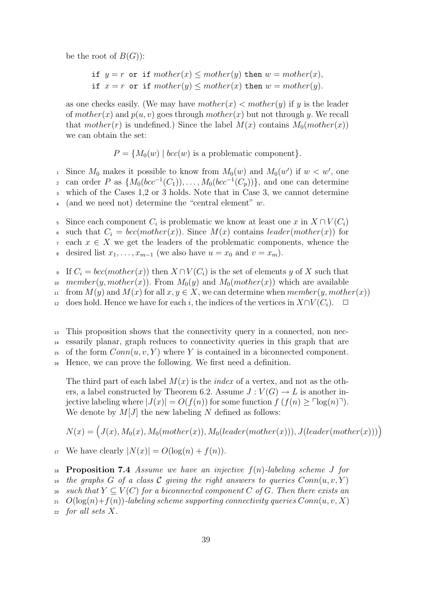be the root of  $B(G)$ :

if  $y = r$  or if  $mother(x) \leq mother(y)$  then  $w = mother(x)$ , if  $x = r$  or if  $mother(y) \leq mother(x)$  then  $w = mother(y)$ .

as one checks easily. (We may have  $mother(x) < mother(y)$  if y is the leader of  $mother(x)$  and  $p(u, v)$  goes through  $mother(x)$  but not through y. We recall that mother(r) is undefined.) Since the label  $M(x)$  contains  $M_0(mother(x))$ we can obtain the set:

 $P = \{M_0(w) \mid bcc(w) \text{ is a problematic component}\}.$ 

since  $M_0$  makes it possible to know from  $M_0(w)$  and  $M_0(w')$  if  $w < w'$ , one <sub>2</sub> can order P as  $\{M_0(bcc^{-1}(C_1)), \ldots, M_0(bcc^{-1}(C_p))\}$ , and one can determine <sup>3</sup> which of the Cases 1,2 or 3 holds. Note that in Case 3, we cannot determine 4 (and we need not) determine the "central element"  $w$ .

5 Since each component  $C_i$  is problematic we know at least one x in  $X \cap V(C_i)$ 

6 such that  $C_i = bcc(mother(x))$ . Since  $M(x)$  contains leader(mother(x)) for

each  $x \in X$  we get the leaders of the problematic components, whence the

8 desired list  $x_1, \ldots, x_{m-1}$  (we also have  $u = x_0$  and  $v = x_m$ ).

9 If  $C_i = bcc(mother(x))$  then  $X ∩ V(C_i)$  is the set of elements y of X such that

10 member(y, mother(x)). From  $M_0(y)$  and  $M_0(mother(x))$  which are available

11 from  $M(y)$  and  $M(x)$  for all  $x, y \in X$ , we can determine when member $(y, mother(x))$ 

12 does hold. Hence we have for each i, the indices of the vertices in  $X\cap V(C_i)$ . □

<sup>13</sup> This proposition shows that the connectivity query in a connected, non nec-<sup>14</sup> essarily planar, graph reduces to connectivity queries in this graph that are <sup>15</sup> of the form  $Conn(u, v, Y)$  where Y is contained in a biconnected component.

<sup>16</sup> Hence, we can prove the following. We first need a definition.

The third part of each label  $M(x)$  is the *index* of a vertex, and not as the others, a label constructed by Theorem 6.2. Assume  $J: V(G) \to L$  is another injective labeling where  $|J(x)| = O(f(n))$  for some function  $f(f(n)) > \log(n)$ . We denote by  $M[J]$  the new labeling N defined as follows:

$$
N(x) = (J(x), M_0(x), M_0(mother(x)), M_0(leader(mother(x))), J(leader(mother(x))))
$$

<sup>17</sup> We have clearly  $|N(x)| = O(\log(n) + f(n)).$ 

<sup>18</sup> Proposition 7.4 Assume we have an injective  $f(n)$ -labeling scheme J for

<sup>19</sup> the graphs G of a class C giving the right answers to queries  $Conn(u, v, Y)$ 

- 20 such that  $Y \subseteq V(C)$  for a biconnected component C of G. Then there exists an
- 21  $O(\log(n) + f(n))$ -labeling scheme supporting connectivity queries  $Conn(u, v, X)$

 $22$  for all sets X.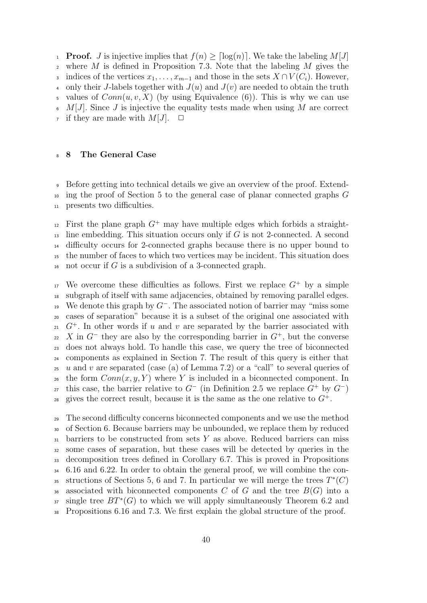1 **Proof.** J is injective implies that  $f(n) \geq \lceil \log(n) \rceil$ . We take the labeling  $M[J]$ 2 where  $M$  is defined in Proposition 7.3. Note that the labeling  $M$  gives the 3 indices of the vertices  $x_1, \ldots, x_{m-1}$  and those in the sets  $X \cap V(C_i)$ . However, 4 only their J-labels together with  $J(u)$  and  $J(v)$  are needed to obtain the truth values of  $Conn(u, v, X)$  (by using Equivalence (6)). This is why we can use  $\epsilon$  M[J]. Since J is injective the equality tests made when using M are correct if they are made with  $M[J]$ .  $\Box$ 

#### <sup>8</sup> 8 The General Case

<sup>9</sup> Before getting into technical details we give an overview of the proof. Extend-<sup>10</sup> ing the proof of Section 5 to the general case of planar connected graphs G <sup>11</sup> presents two difficulties.

<sup>12</sup> First the plane graph  $G^+$  may have multiple edges which forbids a straight- $_{13}$  line embedding. This situation occurs only if G is not 2-connected. A second <sup>14</sup> difficulty occurs for 2-connected graphs because there is no upper bound to <sup>15</sup> the number of faces to which two vertices may be incident. This situation does  $_{16}$  not occur if G is a subdivision of a 3-connected graph.

<sup>17</sup> We overcome these difficulties as follows. First we replace  $G^+$  by a simple <sup>18</sup> subgraph of itself with same adjacencies, obtained by removing parallel edges. <sup>19</sup> We denote this graph by  $G^-$ . The associated notion of barrier may "miss some <sup>20</sup> cases of separation" because it is a subset of the original one associated with  $G^+$ . In other words if u and v are separated by the barrier associated with  $\alpha$  is  $X$  in  $G^-$  they are also by the corresponding barrier in  $G^+$ , but the converse <sup>23</sup> does not always hold. To handle this case, we query the tree of biconnected <sup>24</sup> components as explained in Section 7. The result of this query is either that  $25 u$  and v are separated (case (a) of Lemma 7.2) or a "call" to several queries of 26 the form  $Conn(x, y, Y)$  where Y is included in a biconnected component. In <sup>27</sup> this case, the barrier relative to  $G^-$  (in Definition 2.5 we replace  $G^+$  by  $G^-$ ) as gives the correct result, because it is the same as the one relative to  $G^+$ .

<sup>29</sup> The second difficulty concerns biconnected components and we use the method <sup>30</sup> of Section 6. Because barriers may be unbounded, we replace them by reduced  $_{31}$  barriers to be constructed from sets Y as above. Reduced barriers can miss <sup>32</sup> some cases of separation, but these cases will be detected by queries in the <sup>33</sup> decomposition trees defined in Corollary 6.7. This is proved in Propositions <sup>34</sup> 6.16 and 6.22. In order to obtain the general proof, we will combine the con-35 structions of Sections 5, 6 and 7. In particular we will merge the trees  $T^*(C)$ 36 associated with biconnected components C of G and the tree  $B(G)$  into a  $s<sub>7</sub>$  single tree  $BT^*(G)$  to which we will apply simultaneously Theorem 6.2 and <sup>38</sup> Propositions 6.16 and 7.3. We first explain the global structure of the proof.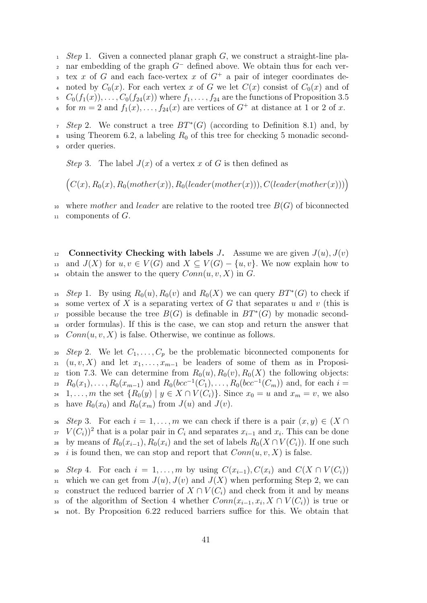$1.$  Step 1. Given a connected planar graph G, we construct a straight-line pla-2 nar embedding of the graph  $G^-$  defined above. We obtain thus for each vertex x of G and each face-vertex x of  $G^+$  a pair of integer coordinates de-4 noted by  $C_0(x)$ . For each vertex x of G we let  $C(x)$  consist of  $C_0(x)$  and of  $C_0(f_1(x)), \ldots, C_0(f_{24}(x))$  where  $f_1, \ldots, f_{24}$  are the functions of Proposition 3.5 6 for  $m = 2$  and  $f_1(x), \ldots, f_{24}(x)$  are vertices of  $G^+$  at distance at 1 or 2 of x.

 $5t^2$  Step 2. We construct a tree  $BT^*(G)$  (according to Definition 8.1) and, by 8 using Theorem 6.2, a labeling  $R_0$  of this tree for checking 5 monadic second-<sup>9</sup> order queries.

Step 3. The label  $J(x)$  of a vertex x of G is then defined as

 $(C(x), R_0(x), R_0(mother(x)), R_0(leader(mother(x))), C(leader(mother(x))))$ 

10 where mother and leader are relative to the rooted tree  $B(G)$  of biconnected  $11$  components of  $G$ .

12 Connectivity Checking with labels J. Assume we are given  $J(u)$ ,  $J(v)$ 13 and  $J(X)$  for  $u, v \in V(G)$  and  $X \subseteq V(G) - \{u, v\}$ . We now explain how to <sup>14</sup> obtain the answer to the query  $Conn(u, v, X)$  in G.

<sup>15</sup> Step 1. By using  $R_0(u)$ ,  $R_0(v)$  and  $R_0(X)$  we can query  $BT^*(G)$  to check if <sup>16</sup> some vertex of X is a separating vertex of G that separates u and v (this is 17 possible because the tree  $B(G)$  is definable in  $BT^*(G)$  by monadic second-<sup>18</sup> order formulas). If this is the case, we can stop and return the answer that  $19$  Conn $(u, v, X)$  is false. Otherwise, we continue as follows.

20 Step 2. We let  $C_1, \ldots, C_p$  be the problematic biconnected components for 21  $(u, v, X)$  and let  $x_1, \ldots, x_{m-1}$  be leaders of some of them as in Proposi-<sup>22</sup> tion 7.3. We can determine from  $R_0(u)$ ,  $R_0(v)$ ,  $R_0(X)$  the following objects:  $R_0(x_1), \ldots, R_0(x_{m-1})$  and  $R_0(bcc^{-1}(C_1), \ldots, R_0(bcc^{-1}(C_m))$  and, for each  $i =$ 24 1, ..., m the set  $\{R_0(y) | y \in X \cap V(C_i)\}$ . Since  $x_0 = u$  and  $x_m = v$ , we also 25 have  $R_0(x_0)$  and  $R_0(x_m)$  from  $J(u)$  and  $J(v)$ .

26 Step 3. For each  $i = 1, \ldots, m$  we can check if there is a pair  $(x, y) \in (X \cap$ <sup>27</sup>  $V(C_i)$ <sup>2</sup> that is a polar pair in  $C_i$  and separates  $x_{i-1}$  and  $x_i$ . This can be done 28 by means of  $R_0(x_{i-1}), R_0(x_i)$  and the set of labels  $R_0(X \cap V(C_i))$ . If one such 29 i is found then, we can stop and report that  $Conn(u, v, X)$  is false.

30 Step 4. For each  $i = 1, \ldots, m$  by using  $C(x_{i-1}), C(x_i)$  and  $C(X \cap V(C_i))$ 31 which we can get from  $J(u)$ ,  $J(v)$  and  $J(X)$  when performing Step 2, we can 32 construct the reduced barrier of  $X \cap V(C_i)$  and check from it and by means 33 of the algorithm of Section 4 whether  $Conn(x_{i-1},x_i,X \cap V(C_i))$  is true or not. By Proposition 6.22 reduced barriers suffice for this. We obtain that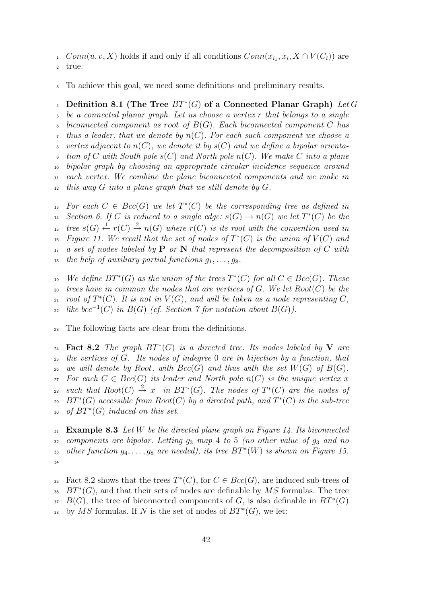$1$  Conn $(u, v, X)$  holds if and only if all conditions  $Conn(x_{i_1}, x_i, X \cap V(C_i))$  are

<sup>2</sup> true.

<sup>3</sup> To achieve this goal, we need some definitions and preliminary results.

4 Definition 8.1 (The Tree  $BT^*(G)$  of a Connected Planar Graph) Let G

<sup>5</sup> be a connected planar graph. Let us choose a vertex r that belongs to a single biconnected component as root of  $B(G)$ . Each biconnected component C has thus a leader, that we denote by  $n(C)$ . For each such component we choose a vertex adjacent to  $n(C)$ , we denote it by  $s(C)$  and we define a bipolar orienta- $\bullet$  tion of C with South pole s(C) and North pole n(C). We make C into a plane

<sup>10</sup> bipolar graph by choosing an appropriate circular incidence sequence around

<sup>11</sup> each vertex. We combine the plane biconnected components and we make in

 $12$  this way G into a plane graph that we still denote by G.

<sup>13</sup> For each  $C \in Bcc(G)$  we let  $T^*(C)$  be the corresponding tree as defined in <sup>14</sup> Section 6. If C is reduced to a single edge:  $s(G) \to n(G)$  we let  $T^*(C)$  be the  $\sigma_{15}$  tree  $s(G) \stackrel{1}{\leftarrow} r(C) \stackrel{2}{\rightarrow} n(G)$  where  $r(C)$  is its root with the convention used in <sup>16</sup> Figure 11. We recall that the set of nodes of  $T^*(C)$  is the union of  $V(C)$  and  $17$  a set of nodes labeled by **P** or **N** that represent the decomposition of C with <sup>18</sup> the help of auxiliary partial functions  $g_1, \ldots, g_8$ .

<sup>19</sup> We define  $BT^*(G)$  as the union of the trees  $T^*(C)$  for all  $C \in Bcc(G)$ . These 20 trees have in common the nodes that are vertices of  $G$ . We let  $Root(C)$  be the <sup>21</sup> root of  $T^*(C)$ . It is not in  $V(G)$ , and will be taken as a node representing C, 22 like bcc<sup>-1</sup>(C) in B(G) (cf. Section 7 for notation about B(G)).

<sup>23</sup> The following facts are clear from the definitions.

24 Fact 8.2 The graph  $BT^*(G)$  is a directed tree. Its nodes labeled by V are <sup>25</sup> the vertices of G. Its nodes of indegree 0 are in bijection by a function, that 26 we will denote by Root, with  $Bcc(G)$  and thus with the set  $W(G)$  of  $B(G)$ . 27 For each  $C \in Bcc(G)$  its leader and North pole  $n(C)$  is the unique vertex x <sup>28</sup> such that  $Root(C) \stackrel{2}{\rightarrow} x$  in  $BT^*(G)$ . The nodes of  $T^*(C)$  are the nodes of <sup>29</sup>  $BT^*(G)$  accessible from  $Root(C)$  by a directed path, and  $T^*(C)$  is the sub-tree 30 of  $BT^*(G)$  induced on this set.

 $31$  Example 8.3 Let W be the directed plane graph on Figure 14. Its biconnected  $32$  components are bipolar. Letting  $g_3$  map 4 to 5 (no other value of  $g_3$  and no 33 other function  $g_4, \ldots, g_8$  are needed), its tree  $BT^*(W)$  is shown on Figure 15. 34

<sup>35</sup> Fact 8.2 shows that the trees  $T^*(C)$ , for  $C \in Bcc(G)$ , are induced sub-trees of  $BT^*(G)$ , and that their sets of nodes are definable by MS formulas. The tree  $B(G)$ , the tree of biconnected components of G, is also definable in  $BT^*(G)$ 38 by MS formulas. If N is the set of nodes of  $BT^*(G)$ , we let: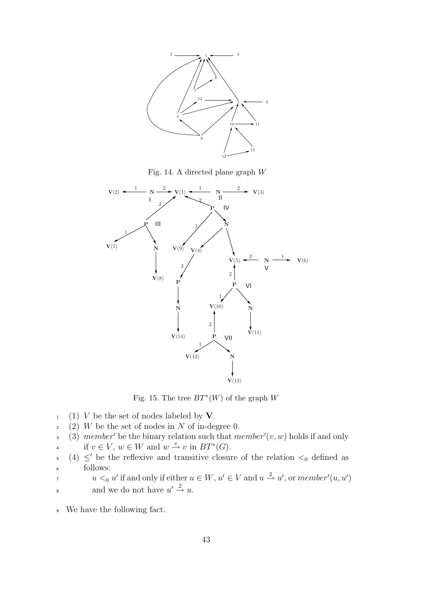

Fig. 14. A directed plane graph W



Fig. 15. The tree  $BT^*(W)$  of the graph W

- $1 \quad (1)$  V be the set of nodes labeled by V.
- $2 \quad (2)$  W be the set of nodes in N of in-degree 0.
- 3 (3) member' be the binary relation such that member'( $v, w$ ) holds if and only
- <sup>4</sup> if  $v \in V$ ,  $w \in W$  and  $w \stackrel{*}{\rightarrow} v$  in  $BT^*(G)$ .
- $(4) \le'$  be the reflexive and transitive closure of the relation  $\lt_0$  defined as <sup>6</sup> follows:
- $u <_0 u'$  if and only if either  $u \in W$ ,  $u' \in V$  and  $u \stackrel{2}{\rightarrow} u'$ , or member'(u, u')
- and we do not have  $u' \stackrel{2}{\rightarrow} u$ .
- <sup>9</sup> We have the following fact.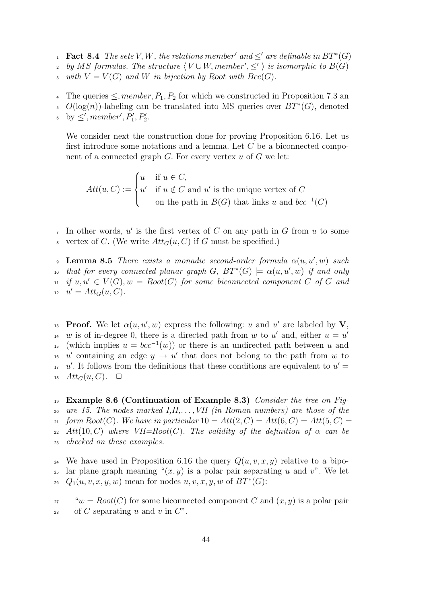- **Fact 8.4** The sets V, W, the relations member' and  $\leq'$  are definable in  $BT^*(G)$
- <sup>2</sup> by MS formulas. The structure  $\langle V \cup W, member', \leq' \rangle$  is isomorphic to  $B(G)$
- 3 with  $V = V(G)$  and W in bijection by Root with  $Bcc(G)$ .
- 4 The queries  $\leq$ , member,  $P_1, P_2$  for which we constructed in Proposition 7.3 and
- 5  $O(log(n))$ -labeling can be translated into MS queries over  $BT^*(G)$ , denoted
- by  $\leq'$ , member',  $P'_1, P'_2$ .

We consider next the construction done for proving Proposition 6.16. Let us first introduce some notations and a lemma. Let C be a biconnected component of a connected graph  $G$ . For every vertex  $u$  of  $G$  we let:

 $Att(u, C) :=$  $\sqrt{ }$  $\int$  $\overline{\mathcal{L}}$  $u$  if  $u \in C$ ,  $u'$  if  $u \notin C$  and  $u'$  is the unique vertex of C on the path in  $B(G)$  that links u and  $bcc^{-1}(C)$ 

- In other words,  $u'$  is the first vertex of C on any path in G from u to some
- 8 vertex of C. (We write  $Att_G(u, C)$  if G must be specified.)

**Lemma 8.5** There exists a monadic second-order formula  $\alpha(u, u', w)$  such <sup>10</sup> that for every connected planar graph  $G$ ,  $BT^*(G) \models \alpha(u, u', w)$  if and only  $i_1$  if  $u, u' \in V(G), w = Root(C)$  for some biconnected component C of G and 12  $u' = Att_G(u, C)$ .

<sup>13</sup> Proof. We let  $\alpha(u, u', w)$  express the following: u and u' are labeled by V, w is of in-degree 0, there is a directed path from w to u' and, either  $u = u'$ 14 <sup>15</sup> (which implies  $u = bcc^{-1}(w)$ ) or there is an undirected path between u and <sup>16</sup> u' containing an edge  $y \to u'$  that does not belong to the path from w to  $u'$ . It follows from the definitions that these conditions are equivalent to  $u' =$ 18  $Att_G(u, C)$ .  $\Box$ 

19 Example 8.6 (Continuation of Example 8.3) Consider the tree on Fig-20 ure 15. The nodes marked  $I,II,\ldots, VII$  (in Roman numbers) are those of the 21 form  $Root(C)$ . We have in particular  $10 = Att(2, C) = Att(6, C) = Att(5, C)$ 22 Att(10, C) where VII=Root(C). The validity of the definition of  $\alpha$  can be <sup>23</sup> checked on these examples.

<sup>24</sup> We have used in Proposition 6.16 the query  $Q(u, v, x, y)$  relative to a bipolar plane graph meaning " $(x, y)$  is a polar pair separating u and v". We let <sup>26</sup>  $Q_1(u, v, x, y, w)$  mean for nodes  $u, v, x, y, w$  of  $BT^*(G)$ :

<sup>27</sup> " $w = Root(C)$  for some biconnected component C and  $(x, y)$  is a polar pair 28 of C separating u and v in  $C$ ".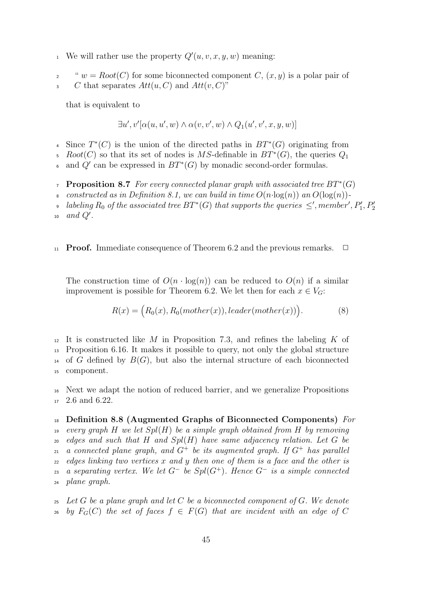- We will rather use the property  $Q'(u, v, x, y, w)$  meaning:
- "  $w = Root(C)$  for some biconnected component C,  $(x, y)$  is a polar pair of

<sup>3</sup> C that separates  $Att(u, C)$  and  $Att(v, C)$ "

that is equivalent to

$$
\exists u',v'[\alpha(u,u',w)\wedge\alpha(v,v',w)\wedge Q_1(u',v',x,y,w)]
$$

- 4 Since  $T^*(C)$  is the union of the directed paths in  $BT^*(G)$  originating from
- 5 Root(C) so that its set of nodes is MS-definable in  $BT^*(G)$ , the queries  $Q_1$

 $\epsilon$  and  $Q'$  can be expressed in  $BT^*(G)$  by monadic second-order formulas.

- **Proposition 8.7** For every connected planar graph with associated tree  $BT^*(G)$
- 8 constructed as in Definition 8.1, we can build in time  $O(n \cdot \log(n))$  and  $O(\log(n))$ -
- labeling  $R_0$  of the associated tree  $BT^*(G)$  that supports the queries  $\leq'$ , member',  $P'_1, P'_2$  $\overline{9}$

### 11 **Proof.** Immediate consequence of Theorem 6.2 and the previous remarks.  $\Box$

The construction time of  $O(n \cdot \log(n))$  can be reduced to  $O(n)$  if a similar improvement is possible for Theorem 6.2. We let then for each  $x \in V_G$ :

$$
R(x) = (R_0(x), R_0(mother(x)), leader(mother(x))).
$$
 (8)

 It is constructed like M in Proposition 7.3, and refines the labeling K of Proposition 6.16. It makes it possible to query, not only the global structure <sup>14</sup> of G defined by  $B(G)$ , but also the internal structure of each biconnected component.

<sup>16</sup> Next we adapt the notion of reduced barrier, and we generalize Propositions <sup>17</sup> 2.6 and 6.22.

# $_{18}$  Definition 8.8 (Augmented Graphs of Biconnected Components) For 19 every graph H we let  $Spl(H)$  be a simple graph obtained from H by removing  $20$  edges and such that H and  $Spl(H)$  have same adjacency relation. Let G be 21 a connected plane graph, and  $G^+$  be its augmented graph. If  $G^+$  has parallel

 $22$  edges linking two vertices x and y then one of them is a face and the other is as a separating vertex. We let  $G^-$  be  $Spl(G^+)$ . Hence  $G^-$  is a simple connected <sup>24</sup> plane graph.

 $25$  Let G be a plane graph and let C be a biconnected component of G. We denote 26 by  $F_G(C)$  the set of faces  $f \in F(G)$  that are incident with an edge of C

 $_{10}$  and  $Q'$ .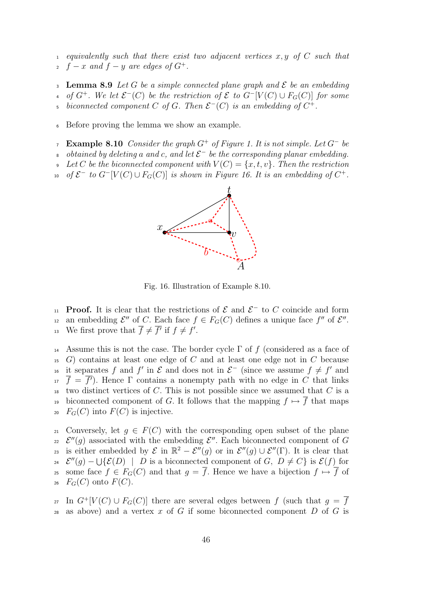1 equivalently such that there exist two adjacent vertices  $x, y$  of C such that  $f - x$  and  $f - y$  are edges of  $G^+$ .

**Lemma 8.9** Let G be a simple connected plane graph and  $\mathcal{E}$  be an embedding <sup>4</sup> of  $G^+$ . We let  $\mathcal{E}^-(C)$  be the restriction of  $\mathcal E$  to  $G^-[V(C) \cup F_G(C)]$  for some <sup>5</sup> biconnected component C of G. Then  $\mathcal{E}^-(C)$  is an embedding of  $C^+$ .

<sup>6</sup> Before proving the lemma we show an example.

Example 8.10 Consider the graph  $G^+$  of Figure 1. It is not simple. Let  $G^-$  be

<sup>8</sup> obtained by deleting a and c, and let  $\mathcal{E}^-$  be the corresponding planar embedding.

Let C be the biconnected component with  $V(C) = \{x, t, v\}$ . Then the restriction

<sup>10</sup> of  $\mathcal{E}^-$  to  $G^-[V(C) \cup F_G(C)]$  is shown in Figure 16. It is an embedding of  $C^+$ .



Fig. 16. Illustration of Example 8.10.

<sup>11</sup> **Proof.** It is clear that the restrictions of  $\mathcal{E}$  and  $\mathcal{E}^-$  to C coincide and form <sup>12</sup> an embedding  $\mathcal{E}''$  of C. Each face  $f \in F_G(C)$  defines a unique face  $f''$  of  $\mathcal{E}''$ . <sup>13</sup> We first prove that  $\overline{f} \neq \overline{f'}$  if  $f \neq f'$ .

<sup>14</sup> Assume this is not the case. The border cycle  $\Gamma$  of f (considered as a face of  $15$  G) contains at least one edge of C and at least one edge not in C because <sup>16</sup> it separates f and f' in  $\mathcal{E}$  and does not in  $\mathcal{E}^-$  (since we assume  $f \neq f'$  and  $\bar{f} = \bar{f}$ . Hence  $\Gamma$  contains a nonempty path with no edge in C that links two distinct vertices of  $C$ . This is not possible since we assumed that  $C$  is a 19 biconnected component of G. It follows that the mapping  $f \mapsto \overline{f}$  that maps 20  $F_G(C)$  into  $F(C)$  is injective.

21 Conversely, let  $q \in F(C)$  with the corresponding open subset of the plane <sup>22</sup>  $\mathcal{E}''(g)$  associated with the embedding  $\mathcal{E}''$ . Each biconnected component of G 23 is either embedded by  $\mathcal E$  in  $\mathbb{R}^2-\mathcal E''(g)$  or in  $\mathcal E''(g)\cup\mathcal E''(\Gamma)$ . It is clear that 24  $\mathcal{E}''(g) - \bigcup \{ \mathcal{E}(D) \mid D \text{ is a biconnected component of } G, D \neq C \}$  is  $\mathcal{E}(f)$  for some face  $f \in F_G(C)$  and that  $g = \overline{f}$ . Hence we have a bijection  $f \mapsto \overline{f}$  of  $_{26}$   $F_G(C)$  onto  $F(C)$ .

27 In  $G^+ [V(C) \cup F_G(C)]$  there are several edges between f (such that  $g = \overline{f}$ ) 28 as above) and a vertex x of G if some biconnected component  $D$  of G is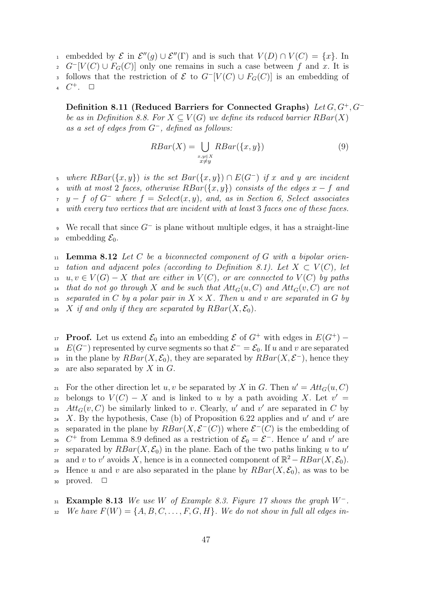- of the interval order that  $V(D) \cap V(C) = \{x\}$ . In
- $G^{-}[V(C) \cup F_{G}(C)]$  only one remains in such a case between f and x. It is
- follows that the restriction of  $\mathcal E$  to  $G^{-}[V(C) \cup F_G(C)]$  is an embedding of

4  $C^+$ .  $\Box$ 

Definition 8.11 (Reduced Barriers for Connected Graphs) Let G, G<sup>+</sup>, G<sup>−</sup> be as in Definition 8.8. For  $X \subseteq V(G)$  we define its reduced barrier  $RBar(X)$ as a set of edges from  $G^-$ , defined as follows:

$$
RBar(X) = \bigcup_{\substack{x,y \in X \\ x \neq y}} RBar(\{x,y\})
$$
\n(9)

where  $RBar(\lbrace x,y \rbrace)$  is the set  $Bar(\lbrace x,y \rbrace) \cap E(G^-)$  if x and y are incident with at most 2 faces, otherwise  $RBar({x, y})$  consists of the edges  $x - f$  and  $y - f$  of  $G^-$  where  $f = Select(x, y)$ , and, as in Section 6, Select associates <sup>8</sup> with every two vertices that are incident with at least 3 faces one of these faces.

 $\bullet$  We recall that since  $G^-$  is plane without multiple edges, it has a straight-line 10 embedding  $\mathcal{E}_0$ .

 $_{11}$  Lemma 8.12 Let C be a biconnected component of G with a bipolar orien-12 tation and adjacent poles (according to Definition 8.1). Let  $X \subset V(C)$ , let 13 u,  $v \in V(G) - X$  that are either in  $V(C)$ , or are connected to  $V(C)$  by paths <sup>14</sup> that do not go through X and be such that  $Att_G(u, C)$  and  $Att_G(v, C)$  are not 15 separated in C by a polar pair in  $X \times X$ . Then u and v are separated in G by <sup>16</sup> X if and only if they are separated by  $RBar(X, \mathcal{E}_0)$ .

<sup>17</sup> **Proof.** Let us extend  $\mathcal{E}_0$  into an embedding  $\mathcal{E}$  of  $G^+$  with edges in  $E(G^+)$  – <sup>18</sup>  $E(G^-)$  represented by curve segments so that  $\mathcal{E}^- = \mathcal{E}_0$ . If u and v are separated <sup>19</sup> in the plane by  $RBar(X, \mathcal{E}_0)$ , they are separated by  $RBar(X, \mathcal{E}^-)$ , hence they 20 are also separated by  $X$  in  $G$ .

<sup>21</sup> For the other direction let u, v be separated by X in G. Then  $u' = Att_G(u, C)$ belongs to  $V(C) - X$  and is linked to u by a path avoiding X. Let  $v' =$ 23  $Att_G(v, C)$  be similarly linked to v. Clearly, u' and v' are separated in C by <sup>24</sup> X. By the hypothesis, Case (b) of Proposition 6.22 applies and  $u'$  and  $v'$  are s separated in the plane by  $RBar(X, \mathcal{E}^{-1}(C))$  where  $\mathcal{E}^{-1}(C)$  is the embedding of <sup>26</sup> C<sup>+</sup> from Lemma 8.9 defined as a restriction of  $\mathcal{E}_0 = \mathcal{E}^-$ . Hence u' and v' are separated by  $RBar(X, \mathcal{E}_0)$  in the plane. Each of the two paths linking u to u' 27 and v to v' avoids X, hence is in a connected component of  $\mathbb{R}^2 - RBar(X, \mathcal{E}_0)$ . 29 Hence u and v are also separated in the plane by  $RBar(X, \mathcal{E}_0)$ , as was to be 30 proved.  $\Box$ 

31 Example 8.13 We use W of Example 8.3. Figure 17 shows the graph  $W^-$ . 32 We have  $F(W) = \{A, B, C, \ldots, F, G, H\}$ . We do not show in full all edges in-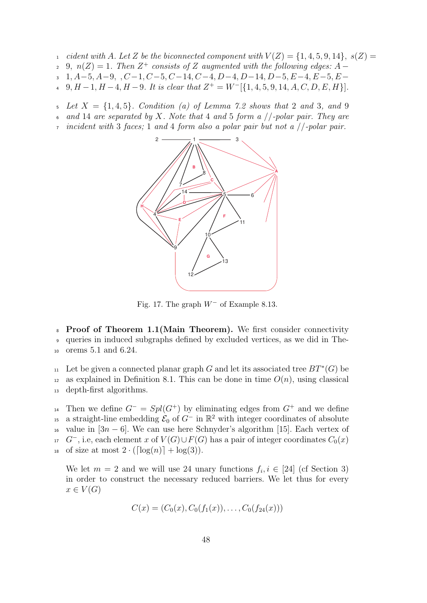- 1 cident with A. Let Z be the biconnected component with  $V(Z) = \{1, 4, 5, 9, 14\}, s(Z) =$
- 2 9,  $n(Z) = 1$ . Then  $Z^+$  consists of Z augmented with the following edges: A –
- $1, A-5, A-9, \ldots, C-1, C-5, C-14, C-4, D-4, D-14, D-5, E-4, E-5, E-$
- 4 9,  $H-1$ ,  $H-4$ ,  $H-9$ . It is clear that  $Z^+ = W^{-}[\{1, 4, 5, 9, 14, A, C, D, E, H\}].$
- Let  $X = \{1,4,5\}$ . Condition (a) of Lemma 7.2 shows that 2 and 3, and 9
- 6 and 14 are separated by X. Note that 4 and 5 form a  $//$ -polar pair. They are
- incident with 3 faces; 1 and 4 form also a polar pair but not a  $//$ -polar pair.



Fig. 17. The graph  $W^-$  of Example 8.13.

<sup>8</sup> Proof of Theorem 1.1(Main Theorem). We first consider connectivity <sup>9</sup> queries in induced subgraphs defined by excluded vertices, as we did in The-<sup>10</sup> orems 5.1 and 6.24.

11 Let be given a connected planar graph G and let its associated tree  $BT^*(G)$  be <sup>12</sup> as explained in Definition 8.1. This can be done in time  $O(n)$ , using classical <sup>13</sup> depth-first algorithms.

<sup>14</sup> Then we define  $G^- = Spl(G^+)$  by eliminating edges from  $G^+$  and we define <sup>15</sup> a straight-line embedding  $\mathcal{E}_0$  of  $G^-$  in  $\mathbb{R}^2$  with integer coordinates of absolute 16 value in  $[3n - 6]$ . We can use here Schnyder's algorithm [15]. Each vertex of  $G^-$ , i.e, each element x of  $V(G) \cup F(G)$  has a pair of integer coordinates  $C_0(x)$ <sup>18</sup> of size at most  $2 \cdot (\lceil \log(n) \rceil + \log(3)).$ 

We let  $m = 2$  and we will use 24 unary functions  $f_i, i \in [24]$  (cf Section 3) in order to construct the necessary reduced barriers. We let thus for every  $x \in V(G)$ 

$$
C(x) = (C_0(x), C_0(f_1(x)), \ldots, C_0(f_{24}(x)))
$$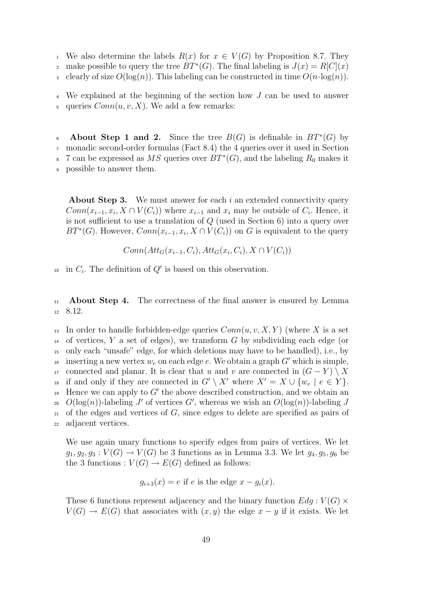<sup>1</sup> We also determine the labels  $R(x)$  for  $x \in V(G)$  by Proposition 8.7. They make possible to query the tree  $BT^*(G)$ . The final labeling is  $J(x) = R[C](x)$ 3 clearly of size  $O(log(n))$ . This labeling can be constructed in time  $O(n \cdot log(n))$ .

<sup>4</sup> We explained at the beginning of the section how J can be used to answer 5 queries  $Conn(u, v, X)$ . We add a few remarks:

**About Step 1 and 2.** Since the tree  $B(G)$  is definable in  $BT^*(G)$  by <sup>7</sup> monadic second-order formulas (Fact 8.4) the 4 queries over it used in Section

<sup>8</sup> 7 can be expressed as MS queries over  $BT^*(G)$ , and the labeling  $R_0$  makes it

<sup>9</sup> possible to answer them.

**About Step 3.** We must answer for each i an extended connectivity query  $Conn(x_{i-1},x_i,X\cap V(C_i))$  where  $x_{i-1}$  and  $x_i$  may be outside of  $C_i$ . Hence, it is not sufficient to use a translation of Q (used in Section 6) into a query over  $BT^*(G)$ . However,  $Conn(x_{i-1},x_i,X\cap V(C_i))$  on G is equivalent to the query

$$
Conn(Att_G(x_{i-1}, C_i), Att_G(x_i, C_i), X \cap V(C_i))
$$

<sup>10</sup> in  $C_i$ . The definition of  $Q'$  is based on this observation.

<sup>11</sup> About Step 4. The correctness of the final answer is ensured by Lemma <sup>12</sup> 8.12.

<sup>13</sup> In order to handle forbidden-edge queries  $Conn(u, v, X, Y)$  (where X is a set  $14$  of vertices, Y a set of edges), we transform G by subdividing each edge (or <sup>15</sup> only each "unsafe" edge, for which deletions may have to be handled), i.e., by is inserting a new vertex  $w_e$  on each edge e. We obtain a graph  $G'$  which is simple, 17 connected and planar. It is clear that u and v are connected in  $(G - Y) \setminus X$ <sup>18</sup> if and only if they are connected in  $G' \setminus X'$  where  $X' = X \cup \{w_e \mid e \in Y\}.$  $19$  Hence we can apply to  $G'$  the above described construction, and we obtain an 20  $O(\log(n))$ -labeling J' of vertices G', whereas we wish an  $O(\log(n))$ -labeling J  $21$  of the edges and vertices of G, since edges to delete are specified as pairs of <sup>22</sup> adjacent vertices.

We use again unary functions to specify edges from pairs of vertices. We let  $g_1, g_2, g_3 : V(G) \to V(G)$  be 3 functions as in Lemma 3.3. We let  $g_4, g_5, g_6$  be the 3 functions :  $V(G) \to E(G)$  defined as follows:

$$
g_{i+3}(x) = e
$$
 if e is the edge  $x - g_i(x)$ .

These 6 functions represent adjacency and the binary function  $Edg : V(G) \times$  $V(G) \to E(G)$  that associates with  $(x, y)$  the edge  $x - y$  if it exists. We let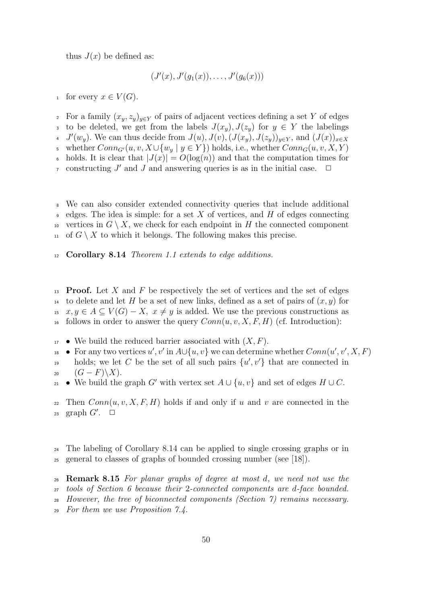thus  $J(x)$  be defined as:

$$
(J'(x), J'(g_1(x)), \ldots, J'(g_6(x)))
$$

1 for every  $x \in V(G)$ .

2 For a family  $(x_y, z_y)_{y \in Y}$  of pairs of adjacent vectices defining a set Y of edges 3 to be deleted, we get from the labels  $J(x_y)$ ,  $J(z_y)$  for  $y \in Y$  the labelings 4  $J'(w_y)$ . We can thus decide from  $J(u)$ ,  $J(v)$ ,  $(J(x_y), J(z_y))_{y \in Y}$ , and  $(J(x))_{x \in X}$ 5 whether  $Conn_{G}(u, v, X\cup \{w_u \mid y \in Y\})$  holds, i.e., whether  $Conn_G(u, v, X, Y)$ holds. It is clear that  $|J(x)| = O(\log(n))$  and that the computation times for  $\sigma$  constructing J' and J and answering queries is as in the initial case.  $\Box$ 

<sup>8</sup> We can also consider extended connectivity queries that include additional edges. The idea is simple: for a set X of vertices, and H of edges connecting 10 vertices in  $G \setminus X$ , we check for each endpoint in H the connected component <sup>11</sup> of  $G \setminus X$  to which it belongs. The following makes this precise.

<sup>12</sup> Corollary 8.14 Theorem 1.1 extends to edge additions.

 $13$  **Proof.** Let X and F be respectively the set of vertices and the set of edges <sup>14</sup> to delete and let H be a set of new links, defined as a set of pairs of  $(x, y)$  for  $x, y \in A \subseteq V(G) - X$ ,  $x \neq y$  is added. We use the previous constructions as <sup>16</sup> follows in order to answer the query  $Conn(u, v, X, F, H)$  (cf. Introduction):

- $_{17}$  We build the reduced barrier associated with  $(X, F)$ .
- <sup>18</sup> For any two vertices  $u', v'$  in  $A \cup \{u, v\}$  we can determine whether  $Conn(u', v', X, F)$ holds; we let C be the set of all such pairs  $\{u', v'\}$  that are connected in
- 20  $(G-F)\backslash X$ ).
- 21 We build the graph G' with vertex set  $A \cup \{u, v\}$  and set of edges  $H \cup C$ .

22 Then  $Conn(u, v, X, F, H)$  holds if and only if u and v are connected in the 23 graph  $G'$ .  $\square$ 

<sup>24</sup> The labeling of Corollary 8.14 can be applied to single crossing graphs or in <sup>25</sup> general to classes of graphs of bounded crossing number (see [18]).

 Remark 8.15 For planar graphs of degree at most d, we need not use the tools of Section 6 because their 2-connected components are d-face bounded. However, the tree of biconnected components (Section 7) remains necessary. For them we use Proposition 7.4.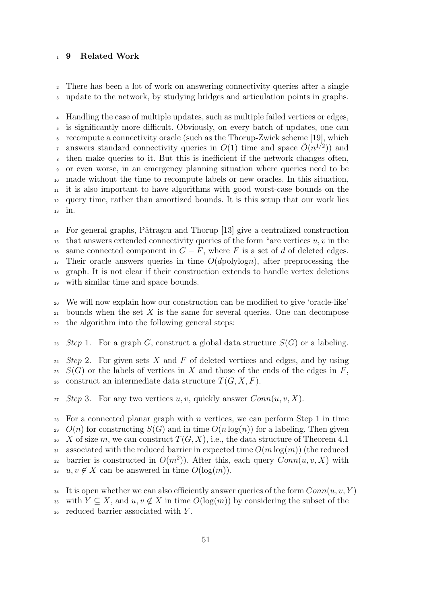#### <sup>1</sup> 9 Related Work

<sup>2</sup> There has been a lot of work on answering connectivity queries after a single <sup>3</sup> update to the network, by studying bridges and articulation points in graphs.

 Handling the case of multiple updates, such as multiple failed vertices or edges, is significantly more difficult. Obviously, on every batch of updates, one can recompute a connectivity oracle (such as the Thorup-Zwick scheme [19], which answers standard connectivity queries in  $O(1)$  time and space  $\tilde{O}(n^{1/2})$  and then make queries to it. But this is inefficient if the network changes often, or even worse, in an emergency planning situation where queries need to be made without the time to recompute labels or new oracles. In this situation, it is also important to have algorithms with good worst-case bounds on the query time, rather than amortized bounds. It is this setup that our work lies <sup>13</sup> in.

 $_{14}$  For general graphs, Pǎtraşcu and Thorup [13] give a centralized construction <sup>15</sup> that answers extended connectivity queries of the form "are vertices  $u, v$  in the <sup>16</sup> same connected component in  $G - F$ , where F is a set of d of deleted edges.  $17$  Their oracle answers queries in time  $O(d$ polylogn), after preprocessing the <sup>18</sup> graph. It is not clear if their construction extends to handle vertex deletions <sup>19</sup> with similar time and space bounds.

<sup>20</sup> We will now explain how our construction can be modified to give 'oracle-like'  $_{21}$  bounds when the set X is the same for several queries. One can decompose <sup>22</sup> the algorithm into the following general steps:

23 Step 1. For a graph G, construct a global data structure  $S(G)$  or a labeling.

 $24$  Step 2. For given sets X and F of deleted vertices and edges, and by using  $25 S(G)$  or the labels of vertices in X and those of the ends of the edges in F, 26 construct an intermediate data structure  $T(G, X, F)$ .

27 Step 3. For any two vertices u, v, quickly answer  $Conn(u, v, X)$ .

28 For a connected planar graph with n vertices, we can perform Step 1 in time 29  $O(n)$  for constructing  $S(G)$  and in time  $O(n \log(n))$  for a labeling. Then given 30 X of size m, we can construct  $T(G, X)$ , i.e., the data structure of Theorem 4.1 31 associated with the reduced barrier in expected time  $O(m \log(m))$  (the reduced barrier is constructed in  $O(m^2)$ ). After this, each query  $Conn(u, v, X)$  with 33  $u, v \notin X$  can be answered in time  $O(\log(m))$ .

<sup>&</sup>lt;sup>34</sup> It is open whether we can also efficiently answer queries of the form  $Conn(u, v, Y)$ 

<sup>35</sup> with  $Y \subseteq X$ , and  $u, v \notin X$  in time  $O(\log(m))$  by considering the subset of the

<sup>36</sup> reduced barrier associated with Y .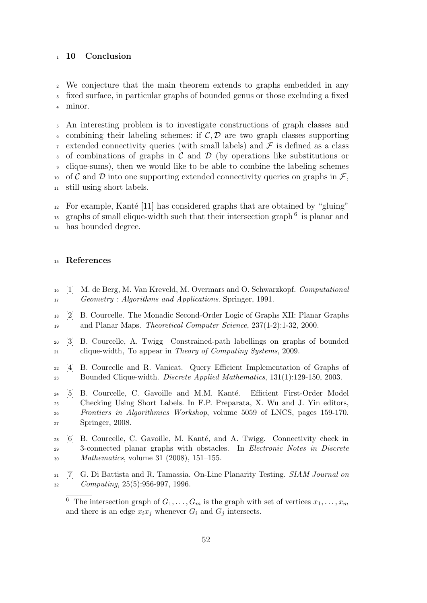#### 10 Conclusion

We conjecture that the main theorem extends to graphs embedded in any fixed surface, in particular graphs of bounded genus or those excluding a fixed minor.

 An interesting problem is to investigate constructions of graph classes and 6 combining their labeling schemes: if  $\mathcal{C}, \mathcal{D}$  are two graph classes supporting  $\tau$  extended connectivity queries (with small labels) and  $\mathcal F$  is defined as a class  $\epsilon$  of combinations of graphs in C and D (by operations like substitutions or clique-sums), then we would like to be able to combine the labeling schemes <sup>10</sup> of C and D into one supporting extended connectivity queries on graphs in  $\mathcal{F}$ , still using short labels.

 For example, Kanté [11] has considered graphs that are obtained by "gluing"  $_{13}$  graphs of small clique-width such that their intersection graph<sup>6</sup> is planar and has bounded degree.

#### References

- [1] M. de Berg, M. Van Kreveld, M. Overmars and O. Schwarzkopf. Computational Geometry : Algorithms and Applications. Springer, 1991.
- [2] B. Courcelle. The Monadic Second-Order Logic of Graphs XII: Planar Graphs and Planar Maps. Theoretical Computer Science, 237(1-2):1-32, 2000.
- [3] B. Courcelle, A. Twigg Constrained-path labellings on graphs of bounded clique-width, To appear in Theory of Computing Systems, 2009.
- [4] B. Courcelle and R. Vanicat. Query Efficient Implementation of Graphs of Bounded Clique-width. Discrete Applied Mathematics, 131(1):129-150, 2003.
- 24 [5] B. Courcelle, C. Gavoille and M.M. Kanté. Efficient First-Order Model Checking Using Short Labels. In F.P. Preparata, X. Wu and J. Yin editors, Frontiers in Algorithmics Workshop, volume 5059 of LNCS, pages 159-170. Springer, 2008.
- 28 [6] B. Courcelle, C. Gavoille, M. Kanté, and A. Twigg. Connectivity check in 3-connected planar graphs with obstacles. In Electronic Notes in Discrete Mathematics, volume 31 (2008), 151–155.
- [7] G. Di Battista and R. Tamassia. On-Line Planarity Testing. SIAM Journal on Computing, 25(5):956-997, 1996.

<sup>&</sup>lt;sup>6</sup> The intersection graph of  $G_1, \ldots, G_m$  is the graph with set of vertices  $x_1, \ldots, x_m$ and there is an edge  $x_ix_j$  whenever  $G_i$  and  $G_j$  intersects.